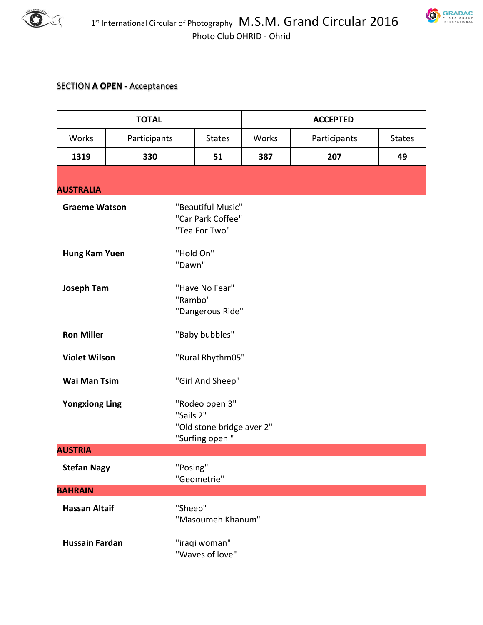



## SECTION **A OPEN** - Acceptances

| <b>TOTAL</b>          |              | <b>ACCEPTED</b>                                                            |       |              |               |
|-----------------------|--------------|----------------------------------------------------------------------------|-------|--------------|---------------|
| Works                 | Participants | <b>States</b>                                                              | Works | Participants | <b>States</b> |
| 1319                  | 330          | 51                                                                         | 387   | 207          | 49            |
| <b>AUSTRALIA</b>      |              |                                                                            |       |              |               |
| <b>Graeme Watson</b>  |              | "Beautiful Music"<br>"Car Park Coffee"<br>"Tea For Two"                    |       |              |               |
| Hung Kam Yuen         |              | "Hold On"<br>"Dawn"                                                        |       |              |               |
| <b>Joseph Tam</b>     |              | "Have No Fear"<br>"Rambo"<br>"Dangerous Ride"                              |       |              |               |
| <b>Ron Miller</b>     |              | "Baby bubbles"                                                             |       |              |               |
| <b>Violet Wilson</b>  |              | "Rural Rhythm05"                                                           |       |              |               |
| <b>Wai Man Tsim</b>   |              | "Girl And Sheep"                                                           |       |              |               |
| <b>Yongxiong Ling</b> |              | "Rodeo open 3"<br>"Sails 2"<br>"Old stone bridge aver 2"<br>"Surfing open" |       |              |               |
| <b>AUSTRIA</b>        |              |                                                                            |       |              |               |
| <b>Stefan Nagy</b>    |              | "Posing"<br>"Geometrie"                                                    |       |              |               |
| <b>BAHRAIN</b>        |              |                                                                            |       |              |               |
| <b>Hassan Altaif</b>  |              | "Sheep"<br>"Masoumeh Khanum"                                               |       |              |               |
| <b>Hussain Fardan</b> |              | "iraqi woman"<br>"Waves of love"                                           |       |              |               |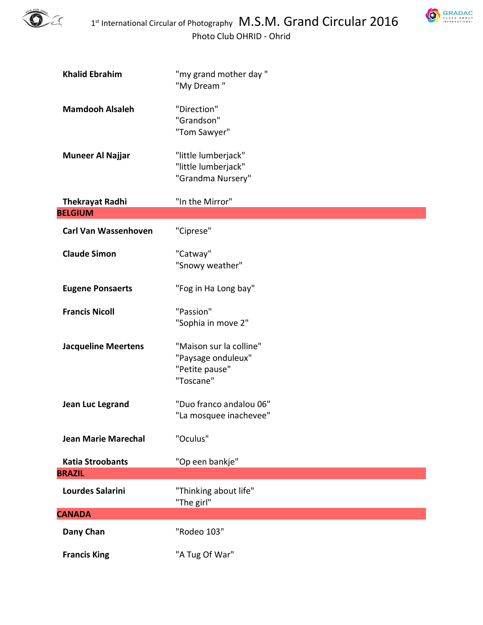

**SRADAC** 

| <b>Khalid Ebrahim</b>       | "my grand mother day"<br>"My Dream"                                          |
|-----------------------------|------------------------------------------------------------------------------|
| <b>Mamdooh Alsaleh</b>      | "Direction"<br>"Grandson"<br>"Tom Sawyer"                                    |
| <b>Muneer Al Najjar</b>     | "little lumberjack"<br>"little lumberjack"<br>"Grandma Nursery"              |
| <b>Thekrayat Radhi</b>      | "In the Mirror"                                                              |
| <b>BELGIUM</b>              |                                                                              |
| <b>Carl Van Wassenhoven</b> | "Ciprese"                                                                    |
| <b>Claude Simon</b>         | "Catway"<br>"Snowy weather"                                                  |
| <b>Eugene Ponsaerts</b>     | "Fog in Ha Long bay"                                                         |
| <b>Francis Nicoll</b>       | "Passion"<br>"Sophia in move 2"                                              |
| <b>Jacqueline Meertens</b>  | "Maison sur la colline"<br>"Paysage onduleux"<br>"Petite pause"<br>"Toscane" |
| Jean Luc Legrand            | "Duo franco andalou 06"<br>"La mosquee inachevee"                            |
| <b>Jean Marie Marechal</b>  | "Oculus"                                                                     |
| <b>Katia Stroobants</b>     | "Op een bankje"                                                              |
| <b>BRAZIL</b>               |                                                                              |
| <b>Lourdes Salarini</b>     | "Thinking about life"<br>"The girl"                                          |
| <b>CANADA</b>               |                                                                              |
| Dany Chan                   | "Rodeo 103"                                                                  |
| <b>Francis King</b>         | "A Tug Of War"                                                               |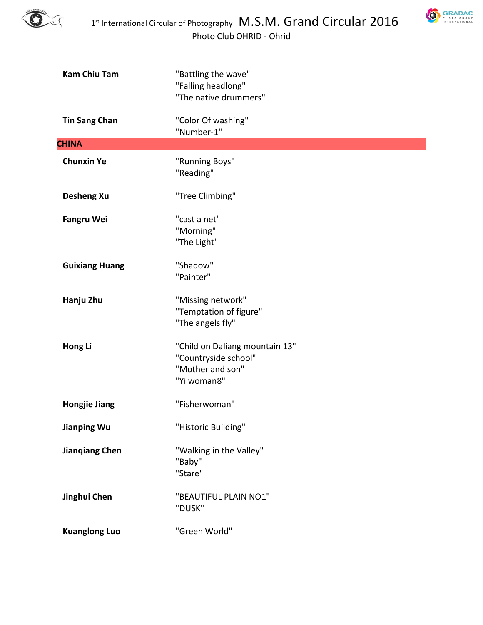



| <b>Kam Chiu Tam</b>   | "Battling the wave"<br>"Falling headlong"<br>"The native drummers"                        |
|-----------------------|-------------------------------------------------------------------------------------------|
| <b>Tin Sang Chan</b>  | "Color Of washing"<br>"Number-1"                                                          |
| <b>CHINA</b>          |                                                                                           |
| <b>Chunxin Ye</b>     | "Running Boys"<br>"Reading"                                                               |
| <b>Desheng Xu</b>     | "Tree Climbing"                                                                           |
| <b>Fangru Wei</b>     | "cast a net"<br>"Morning"<br>"The Light"                                                  |
| <b>Guixiang Huang</b> | "Shadow"<br>"Painter"                                                                     |
| Hanju Zhu             | "Missing network"<br>"Temptation of figure"<br>"The angels fly"                           |
| Hong Li               | "Child on Daliang mountain 13"<br>"Countryside school"<br>"Mother and son"<br>"Yi woman8" |
| <b>Hongjie Jiang</b>  | "Fisherwoman"                                                                             |
| <b>Jianping Wu</b>    | "Historic Building"                                                                       |
| <b>Jianqiang Chen</b> | "Walking in the Valley"<br>"Baby"<br>"Stare"                                              |
| Jinghui Chen          | "BEAUTIFUL PLAIN NO1"<br>"DUSK"                                                           |
| <b>Kuanglong Luo</b>  | "Green World"                                                                             |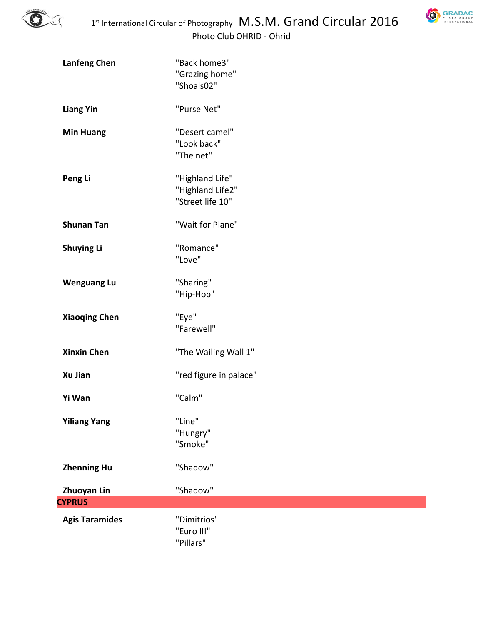



| <b>Lanfeng Chen</b>          | "Back home3"<br>"Grazing home"<br>"Shoals02"            |
|------------------------------|---------------------------------------------------------|
| <b>Liang Yin</b>             | "Purse Net"                                             |
| <b>Min Huang</b>             | "Desert camel"<br>"Look back"<br>"The net"              |
| Peng Li                      | "Highland Life"<br>"Highland Life2"<br>"Street life 10" |
| <b>Shunan Tan</b>            | "Wait for Plane"                                        |
| <b>Shuying Li</b>            | "Romance"<br>"Love"                                     |
| <b>Wenguang Lu</b>           | "Sharing"<br>"Hip-Hop"                                  |
| <b>Xiaoqing Chen</b>         | "Eye"<br>"Farewell"                                     |
| <b>Xinxin Chen</b>           | "The Wailing Wall 1"                                    |
| Xu Jian                      | "red figure in palace"                                  |
| Yi Wan                       | "Calm"                                                  |
| <b>Yiliang Yang</b>          | "Line"<br>"Hungry"<br>"Smoke"                           |
| <b>Zhenning Hu</b>           | "Shadow"                                                |
| Zhuoyan Lin<br><b>CYPRUS</b> | "Shadow"                                                |
| <b>Agis Taramides</b>        | "Dimitrios"<br>"Euro III"<br>"Pillars"                  |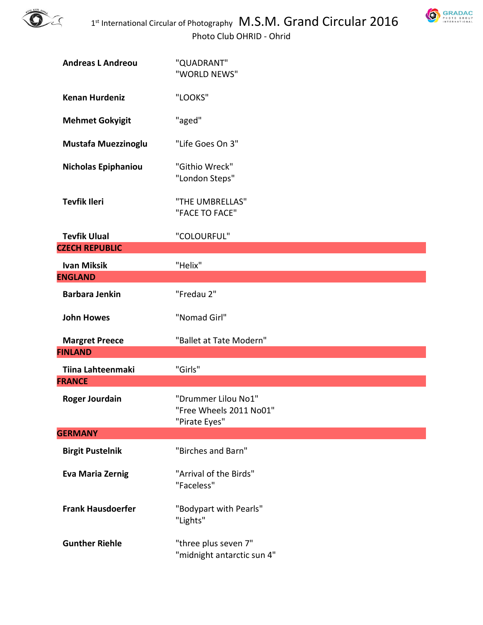



| <b>Andreas L Andreou</b>   | "QUADRANT"<br>"WORLD NEWS"                                      |
|----------------------------|-----------------------------------------------------------------|
| <b>Kenan Hurdeniz</b>      | "LOOKS"                                                         |
| <b>Mehmet Gokyigit</b>     | "aged"                                                          |
| <b>Mustafa Muezzinoglu</b> | "Life Goes On 3"                                                |
| <b>Nicholas Epiphaniou</b> | "Githio Wreck"<br>"London Steps"                                |
| <b>Tevfik Ileri</b>        | "THE UMBRELLAS"<br>"FACE TO FACE"                               |
| <b>Tevfik Ulual</b>        | "COLOURFUL"                                                     |
| <b>CZECH REPUBLIC</b>      |                                                                 |
| <b>Ivan Miksik</b>         | "Helix"                                                         |
| <b>ENGLAND</b>             |                                                                 |
| <b>Barbara Jenkin</b>      | "Fredau 2"                                                      |
| <b>John Howes</b>          | "Nomad Girl"                                                    |
| <b>Margret Preece</b>      | "Ballet at Tate Modern"                                         |
| <b>FINLAND</b>             |                                                                 |
| <b>Tiina Lahteenmaki</b>   | "Girls"                                                         |
| <b>FRANCE</b>              |                                                                 |
|                            |                                                                 |
| <b>Roger Jourdain</b>      | "Drummer Lilou No1"<br>"Free Wheels 2011 No01"<br>"Pirate Eyes" |
| <b>GERMANY</b>             |                                                                 |
| <b>Birgit Pustelnik</b>    | "Birches and Barn"                                              |
| <b>Eva Maria Zernig</b>    | "Arrival of the Birds"<br>"Faceless"                            |
| <b>Frank Hausdoerfer</b>   | "Bodypart with Pearls"<br>"Lights"                              |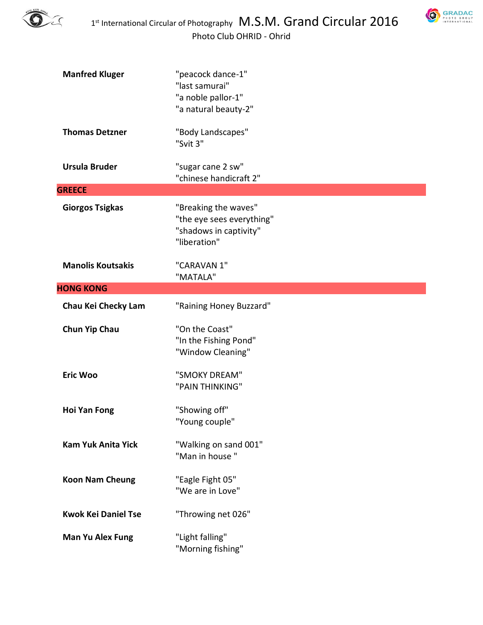

**SRADAC** 

| <b>Manfred Kluger</b>      | "peacock dance-1"<br>"last samurai"<br>"a noble pallor-1"<br>"a natural beauty-2"           |
|----------------------------|---------------------------------------------------------------------------------------------|
| <b>Thomas Detzner</b>      | "Body Landscapes"<br>"Svit 3"                                                               |
| <b>Ursula Bruder</b>       | "sugar cane 2 sw"<br>"chinese handicraft 2"                                                 |
| <b>GREECE</b>              |                                                                                             |
| <b>Giorgos Tsigkas</b>     | "Breaking the waves"<br>"the eye sees everything"<br>"shadows in captivity"<br>"liberation" |
| <b>Manolis Koutsakis</b>   | "CARAVAN 1"<br>"MATALA"                                                                     |
| <b>HONG KONG</b>           |                                                                                             |
| Chau Kei Checky Lam        | "Raining Honey Buzzard"                                                                     |
| <b>Chun Yip Chau</b>       | "On the Coast"<br>"In the Fishing Pond"<br>"Window Cleaning"                                |
| <b>Eric Woo</b>            | "SMOKY DREAM"<br>"PAIN THINKING"                                                            |
| <b>Hoi Yan Fong</b>        | "Showing off"<br>"Young couple"                                                             |
| <b>Kam Yuk Anita Yick</b>  | "Walking on sand 001"<br>"Man in house"                                                     |
| <b>Koon Nam Cheung</b>     | "Eagle Fight 05"<br>"We are in Love"                                                        |
| <b>Kwok Kei Daniel Tse</b> | "Throwing net 026"                                                                          |
| Man Yu Alex Fung           | "Light falling"<br>"Morning fishing"                                                        |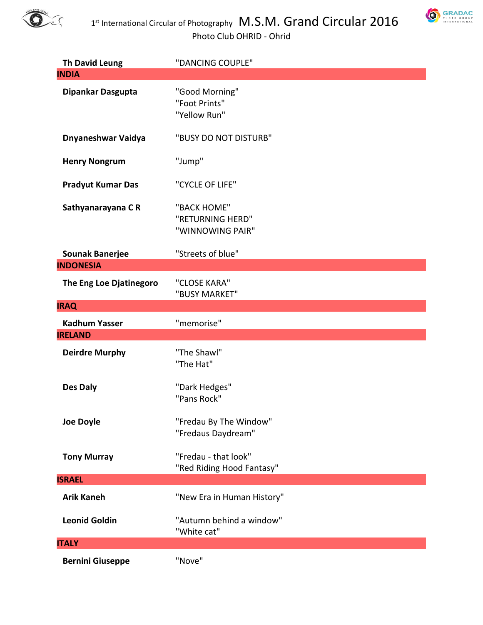



| <b>Th David Leung</b>              | "DANCING COUPLE"                                    |
|------------------------------------|-----------------------------------------------------|
| <b>INDIA</b>                       |                                                     |
| Dipankar Dasgupta                  | "Good Morning"<br>"Foot Prints"<br>"Yellow Run"     |
| Dnyaneshwar Vaidya                 | "BUSY DO NOT DISTURB"                               |
| <b>Henry Nongrum</b>               | "Jump"                                              |
| <b>Pradyut Kumar Das</b>           | "CYCLE OF LIFE"                                     |
| Sathyanarayana CR                  | "BACK HOME"<br>"RETURNING HERD"<br>"WINNOWING PAIR" |
| <b>Sounak Banerjee</b>             | "Streets of blue"                                   |
| <b>INDONESIA</b>                   |                                                     |
| The Eng Loe Djatinegoro            | "CLOSE KARA"<br>"BUSY MARKET"                       |
| <b>IRAQ</b>                        |                                                     |
| <b>Kadhum Yasser</b>               | "memorise"                                          |
| <b>IRELAND</b>                     |                                                     |
|                                    |                                                     |
| <b>Deirdre Murphy</b>              | "The Shawl"<br>"The Hat"                            |
| Des Daly                           | "Dark Hedges"<br>"Pans Rock"                        |
| <b>Joe Doyle</b>                   | "Fredau By The Window"<br>"Fredaus Daydream"        |
| <b>Tony Murray</b>                 | "Fredau - that look"<br>"Red Riding Hood Fantasy"   |
|                                    |                                                     |
| <b>ISRAEL</b><br><b>Arik Kaneh</b> | "New Era in Human History"                          |
| <b>Leonid Goldin</b>               | "Autumn behind a window"<br>"White cat"             |
| <b>ITALY</b>                       |                                                     |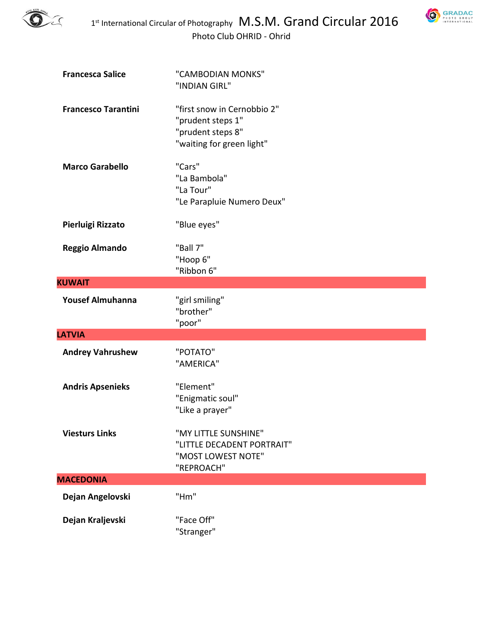

**SRADAC** 

| <b>Francesca Salice</b>    | "CAMBODIAN MONKS"<br>"INDIAN GIRL"                                                                 |
|----------------------------|----------------------------------------------------------------------------------------------------|
| <b>Francesco Tarantini</b> | "first snow in Cernobbio 2"<br>"prudent steps 1"<br>"prudent steps 8"<br>"waiting for green light" |
| <b>Marco Garabello</b>     | "Cars"<br>"La Bambola"<br>"La Tour"<br>"Le Parapluie Numero Deux"                                  |
| Pierluigi Rizzato          | "Blue eyes"                                                                                        |
| <b>Reggio Almando</b>      | "Ball 7"<br>"Hoop 6"<br>"Ribbon 6"                                                                 |
| <b>KUWAIT</b>              |                                                                                                    |
| <b>Yousef Almuhanna</b>    | "girl smiling"<br>"brother"<br>"poor"                                                              |
| <b>LATVIA</b>              |                                                                                                    |
| <b>Andrey Vahrushew</b>    | "POTATO"<br>"AMERICA"                                                                              |
| <b>Andris Apsenieks</b>    | "Element"<br>"Enigmatic soul"<br>"Like a prayer"                                                   |
| <b>Viesturs Links</b>      | "MY LITTLE SUNSHINE"<br>"LITTLE DECADENT PORTRAIT"<br>"MOST LOWEST NOTE"<br>"REPROACH"             |
| <b>MACEDONIA</b>           |                                                                                                    |
| Dejan Angelovski           | "Hm"                                                                                               |
| Dejan Kraljevski           | "Face Off"                                                                                         |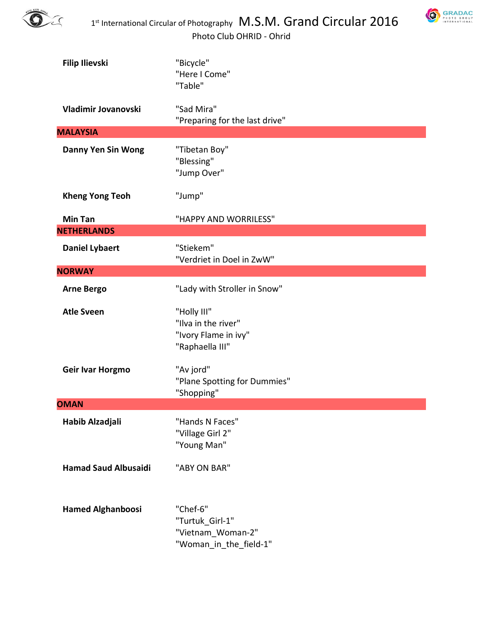



| <b>Filip Ilievski</b>       | "Bicycle"<br>"Here I Come"<br>"Table"                                         |
|-----------------------------|-------------------------------------------------------------------------------|
| Vladimir Jovanovski         | "Sad Mira"<br>"Preparing for the last drive"                                  |
| <b>MALAYSIA</b>             |                                                                               |
| <b>Danny Yen Sin Wong</b>   | "Tibetan Boy"<br>"Blessing"<br>"Jump Over"                                    |
| <b>Kheng Yong Teoh</b>      | "Jump"                                                                        |
| <b>Min Tan</b>              | "HAPPY AND WORRILESS"                                                         |
| <b>NETHERLANDS</b>          |                                                                               |
| <b>Daniel Lybaert</b>       | "Stiekem"<br>"Verdriet in Doel in ZwW"                                        |
| <b>NORWAY</b>               |                                                                               |
| <b>Arne Bergo</b>           | "Lady with Stroller in Snow"                                                  |
| <b>Atle Sveen</b>           | "Holly III"<br>"Ilva in the river"<br>"Ivory Flame in ivy"<br>"Raphaella III" |
| Geir Ivar Horgmo            | "Av jord"<br>"Plane Spotting for Dummies"<br>"Shopping"                       |
| <b>OMAN</b>                 |                                                                               |
| Habib Alzadjali             | "Hands N Faces"<br>"Village Girl 2"<br>"Young Man"                            |
| <b>Hamad Saud Albusaidi</b> | "ABY ON BAR"                                                                  |
| <b>Hamed Alghanboosi</b>    | "Chef-6"<br>"Turtuk Girl-1"<br>"Vietnam Woman-2"<br>"Woman in the field-1"    |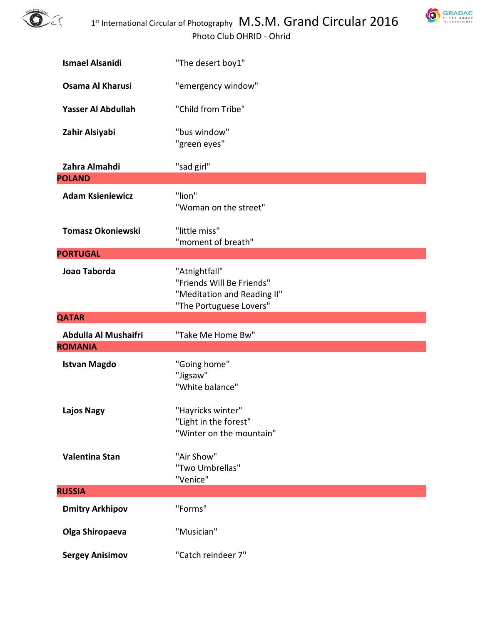



| <b>Ismael Alsanidi</b>   | "The desert boy1"                                                                                    |
|--------------------------|------------------------------------------------------------------------------------------------------|
| Osama Al Kharusi         | "emergency window"                                                                                   |
| Yasser Al Abdullah       | "Child from Tribe"                                                                                   |
| Zahir Alsiyabi           | "bus window"<br>"green eyes"                                                                         |
| Zahra Almahdi            | "sad girl"                                                                                           |
| <b>POLAND</b>            |                                                                                                      |
| <b>Adam Ksieniewicz</b>  | "lion"<br>"Woman on the street"                                                                      |
| <b>Tomasz Okoniewski</b> | "little miss"<br>"moment of breath"                                                                  |
| <b>PORTUGAL</b>          |                                                                                                      |
| Joao Taborda             | "Atnightfall"<br>"Friends Will Be Friends"<br>"Meditation and Reading II"<br>"The Portuguese Lovers" |
|                          |                                                                                                      |
| <b>QATAR</b>             |                                                                                                      |
| Abdulla Al Mushaifri     | "Take Me Home Bw"                                                                                    |
| <b>ROMANIA</b>           |                                                                                                      |
| <b>Istvan Magdo</b>      | "Going home"<br>"Jigsaw"<br>"White balance"                                                          |
| <b>Lajos Nagy</b>        | "Hayricks winter"<br>"Light in the forest"<br>"Winter on the mountain"                               |
| Valentina Stan           | "Air Show"<br>"Two Umbrellas"<br>"Venice"                                                            |
| <b>RUSSIA</b>            |                                                                                                      |
| <b>Dmitry Arkhipov</b>   | "Forms"                                                                                              |
| Olga Shiropaeva          | "Musician"                                                                                           |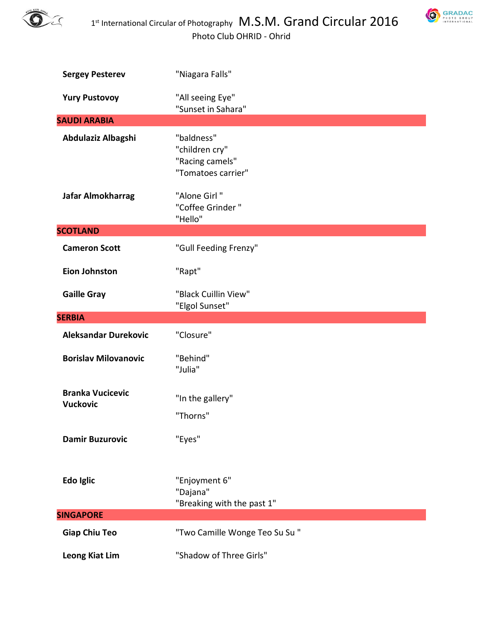



| <b>Sergey Pesterev</b>                     | "Niagara Falls"                                                       |
|--------------------------------------------|-----------------------------------------------------------------------|
| <b>Yury Pustovoy</b>                       | "All seeing Eye"<br>"Sunset in Sahara"                                |
| <b>SAUDI ARABIA</b>                        |                                                                       |
| Abdulaziz Albagshi                         | "baldness"<br>"children cry"<br>"Racing camels"<br>"Tomatoes carrier" |
| Jafar Almokharrag                          | "Alone Girl"<br>"Coffee Grinder"<br>"Hello"                           |
| <b>SCOTLAND</b>                            |                                                                       |
| <b>Cameron Scott</b>                       | "Gull Feeding Frenzy"                                                 |
| <b>Eion Johnston</b>                       | "Rapt"                                                                |
| <b>Gaille Gray</b>                         | "Black Cuillin View"<br>"Elgol Sunset"                                |
|                                            |                                                                       |
| <b>SERBIA</b>                              |                                                                       |
| <b>Aleksandar Durekovic</b>                | "Closure"                                                             |
| <b>Borislav Milovanovic</b>                | "Behind"<br>"Julia"                                                   |
| <b>Branka Vucicevic</b><br><b>Vuckovic</b> | "In the gallery"<br>"Thorns"                                          |
| <b>Damir Buzurovic</b>                     | "Eyes"                                                                |
| Edo Iglic                                  | "Enjoyment 6"<br>"Dajana"<br>"Breaking with the past 1"               |
| <b>SINGAPORE</b>                           |                                                                       |
| <b>Giap Chiu Teo</b>                       | "Two Camille Wonge Teo Su Su"                                         |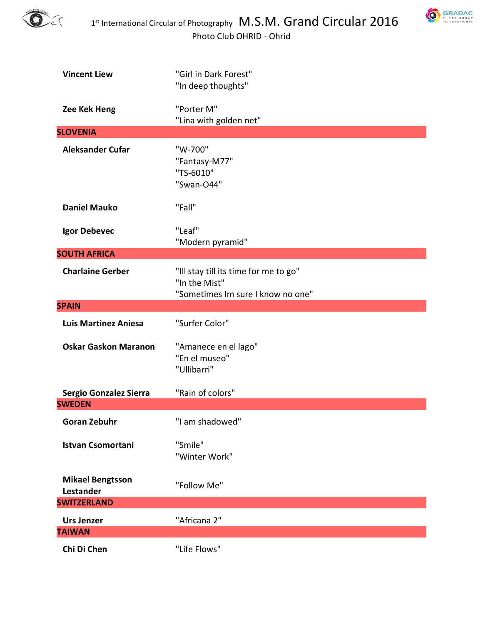



| <b>Vincent Liew</b>                         | "Girl in Dark Forest"<br>"In deep thoughts"                                                 |
|---------------------------------------------|---------------------------------------------------------------------------------------------|
| Zee Kek Heng                                | "Porter M"<br>"Lina with golden net"                                                        |
| <b>SLOVENIA</b>                             |                                                                                             |
| <b>Aleksander Cufar</b>                     | "W-700"<br>"Fantasy-M77"<br>"TS-6010"<br>"Swan-O44"                                         |
| <b>Daniel Mauko</b>                         | "Fall"                                                                                      |
| Igor Debevec                                | "Leaf"<br>"Modern pyramid"                                                                  |
| <b>SOUTH AFRICA</b>                         |                                                                                             |
| <b>Charlaine Gerber</b>                     | "Ill stay till its time for me to go"<br>"In the Mist"<br>"Sometimes Im sure I know no one" |
| <b>SPAIN</b>                                |                                                                                             |
| <b>Luis Martinez Aniesa</b>                 | "Surfer Color"                                                                              |
| <b>Oskar Gaskon Maranon</b>                 | "Amanece en el lago"<br>"En el museo"<br>"Ullibarri"                                        |
| Sergio Gonzalez Sierra                      | "Rain of colors"                                                                            |
| <b>SWEDEN</b>                               |                                                                                             |
| <b>Goran Zebuhr</b>                         | "I am shadowed"                                                                             |
| <b>Istvan Csomortani</b>                    | "Smile"<br>"Winter Work"                                                                    |
| <b>Mikael Bengtsson</b><br><b>Lestander</b> | "Follow Me"                                                                                 |
| <b>SWITZERLAND</b>                          |                                                                                             |
| <b>Urs Jenzer</b><br><b>TAIWAN</b>          | "Africana 2"                                                                                |
| Chi Di Chen                                 | "Life Flows"                                                                                |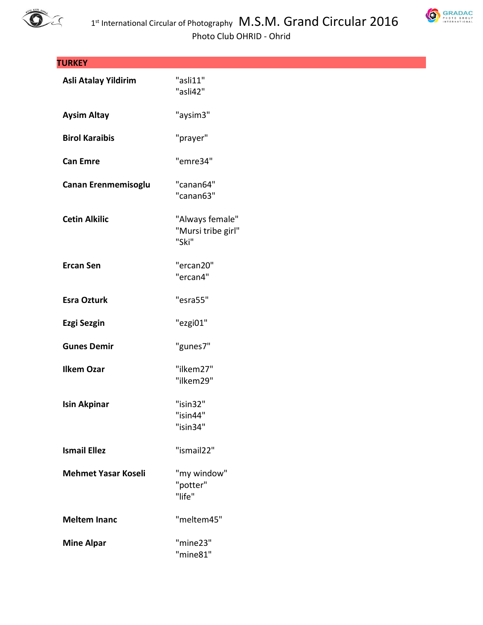



| <b>TURKEY</b>              |                                                |
|----------------------------|------------------------------------------------|
| Asli Atalay Yildirim       | "asli11"<br>"asli42"                           |
| <b>Aysim Altay</b>         | "aysim3"                                       |
| <b>Birol Karaibis</b>      | "prayer"                                       |
| <b>Can Emre</b>            | "emre34"                                       |
| Canan Erenmemisoglu        | "canan64"<br>"canan63"                         |
| <b>Cetin Alkilic</b>       | "Always female"<br>"Mursi tribe girl"<br>"Ski" |
| <b>Ercan Sen</b>           | "ercan20"<br>"ercan4"                          |
| <b>Esra Ozturk</b>         | "esra55"                                       |
| <b>Ezgi Sezgin</b>         | "ezgi01"                                       |
| <b>Gunes Demir</b>         | "gunes7"                                       |
| <b>Ilkem Ozar</b>          | "ilkem27"<br>"ilkem29"                         |
| <b>Isin Akpinar</b>        | "isin32"<br>"isin44"<br>"isin34"               |
| <b>Ismail Ellez</b>        | "ismail22"                                     |
| <b>Mehmet Yasar Koseli</b> | "my window"<br>"potter"<br>"life"              |
| <b>Meltem Inanc</b>        | "meltem45"                                     |
| <b>Mine Alpar</b>          | "mine23"<br>"mine81"                           |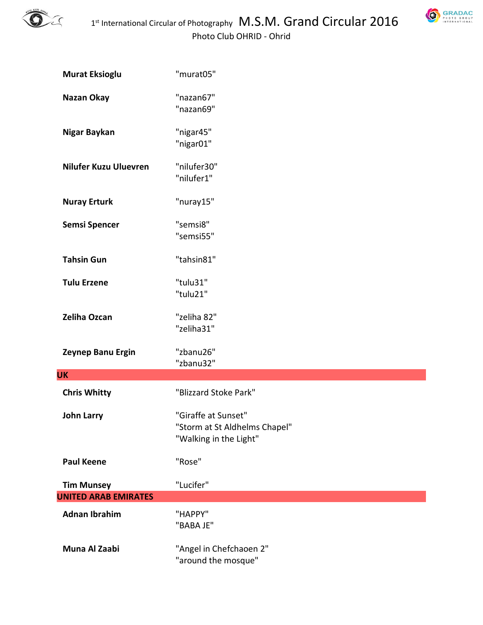

| GRADAC                                 |
|----------------------------------------|
| PHOTO<br>GROUP<br><b>INTERNATIONAL</b> |

| <b>Murat Eksioglu</b>        | "murat05"                                                                      |
|------------------------------|--------------------------------------------------------------------------------|
| Nazan Okay                   | "nazan67"<br>"nazan69"                                                         |
| Nigar Baykan                 | "nigar45"<br>"nigar01"                                                         |
| <b>Nilufer Kuzu Uluevren</b> | "nilufer30"<br>"nilufer1"                                                      |
| <b>Nuray Erturk</b>          | "nuray15"                                                                      |
| <b>Semsi Spencer</b>         | "semsi8"<br>"semsi55"                                                          |
| <b>Tahsin Gun</b>            | "tahsin81"                                                                     |
| <b>Tulu Erzene</b>           | "tulu31"<br>"tulu21"                                                           |
| Zeliha Ozcan                 | "zeliha 82"<br>"zeliha31"                                                      |
| Zeynep Banu Ergin            | "zbanu26"<br>"zbanu32"                                                         |
| <b>UK</b>                    |                                                                                |
| <b>Chris Whitty</b>          | "Blizzard Stoke Park"                                                          |
| <b>John Larry</b>            | "Giraffe at Sunset"<br>"Storm at St Aldhelms Chapel"<br>"Walking in the Light" |
| <b>Paul Keene</b>            | "Rose"                                                                         |
| <b>Tim Munsey</b>            | "Lucifer"                                                                      |
| <b>UNITED ARAB EMIRATES</b>  |                                                                                |
| <b>Adnan Ibrahim</b>         | "HAPPY"<br>"BABA JE"                                                           |
| Muna Al Zaabi                | "Angel in Chefchaoen 2"<br>"around the mosque"                                 |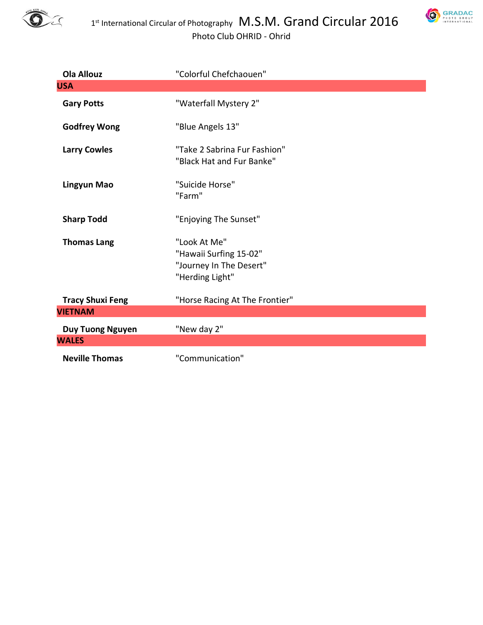



| <b>Ola Allouz</b>       | "Colorful Chefchaouen"                                                               |
|-------------------------|--------------------------------------------------------------------------------------|
| <b>USA</b>              |                                                                                      |
| <b>Gary Potts</b>       | "Waterfall Mystery 2"                                                                |
| <b>Godfrey Wong</b>     | "Blue Angels 13"                                                                     |
| <b>Larry Cowles</b>     | "Take 2 Sabrina Fur Fashion"<br>"Black Hat and Fur Banke"                            |
| Lingyun Mao             | "Suicide Horse"<br>"Farm"                                                            |
| <b>Sharp Todd</b>       | "Enjoying The Sunset"                                                                |
| <b>Thomas Lang</b>      | "Look At Me"<br>"Hawaii Surfing 15-02"<br>"Journey In The Desert"<br>"Herding Light" |
| <b>Tracy Shuxi Feng</b> | "Horse Racing At The Frontier"                                                       |
| <b>VIETNAM</b>          |                                                                                      |
| <b>Duy Tuong Nguyen</b> | "New day 2"                                                                          |
| <b>WALES</b>            |                                                                                      |
| <b>Neville Thomas</b>   | "Communication"                                                                      |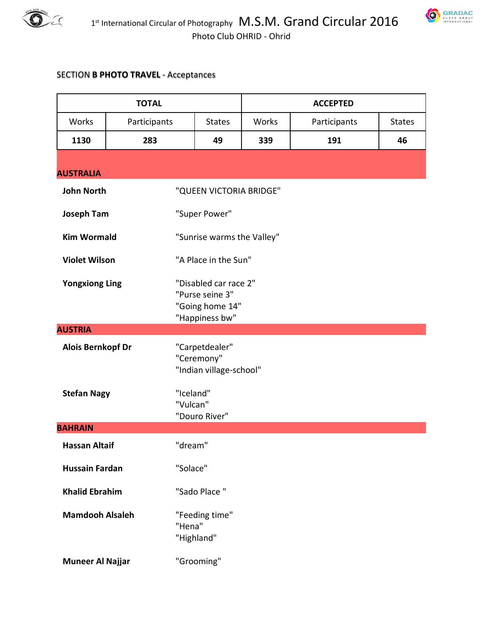



## SECTION **B PHOTO TRAVEL** - Acceptances

| <b>TOTAL</b>             |              | <b>ACCEPTED</b>                                                               |       |              |               |
|--------------------------|--------------|-------------------------------------------------------------------------------|-------|--------------|---------------|
| Works                    | Participants | <b>States</b>                                                                 | Works | Participants | <b>States</b> |
| 1130                     | 283          | 49                                                                            | 339   | 191          | 46            |
| <b>AUSTRALIA</b>         |              |                                                                               |       |              |               |
| <b>John North</b>        |              | "QUEEN VICTORIA BRIDGE"                                                       |       |              |               |
| <b>Joseph Tam</b>        |              | "Super Power"                                                                 |       |              |               |
| <b>Kim Wormald</b>       |              | "Sunrise warms the Valley"                                                    |       |              |               |
| <b>Violet Wilson</b>     |              | "A Place in the Sun"                                                          |       |              |               |
| <b>Yongxiong Ling</b>    |              | "Disabled car race 2"<br>"Purse seine 3"<br>"Going home 14"<br>"Happiness bw" |       |              |               |
| <b>AUSTRIA</b>           |              |                                                                               |       |              |               |
| <b>Alois Bernkopf Dr</b> |              | "Carpetdealer"<br>"Ceremony"<br>"Indian village-school"                       |       |              |               |
| <b>Stefan Nagy</b>       |              | "Iceland"<br>"Vulcan"<br>"Douro River"                                        |       |              |               |
| <b>BAHRAIN</b>           |              |                                                                               |       |              |               |
| <b>Hassan Altaif</b>     |              | "dream"                                                                       |       |              |               |
| <b>Hussain Fardan</b>    |              | "Solace"                                                                      |       |              |               |
| <b>Khalid Ebrahim</b>    |              | "Sado Place"                                                                  |       |              |               |
| <b>Mamdooh Alsaleh</b>   |              | "Feeding time"<br>"Hena"<br>"Highland"                                        |       |              |               |
| <b>Muneer Al Najjar</b>  |              | "Grooming"                                                                    |       |              |               |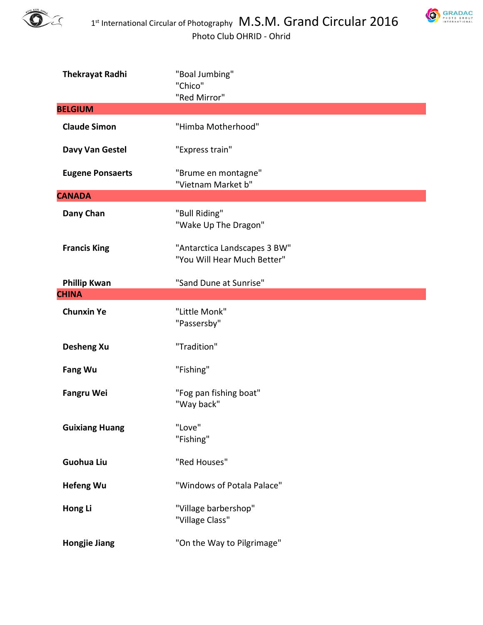



| <b>Thekrayat Radhi</b>  | "Boal Jumbing"<br>"Chico"<br>"Red Mirror"                   |
|-------------------------|-------------------------------------------------------------|
| <b>BELGIUM</b>          |                                                             |
| <b>Claude Simon</b>     | "Himba Motherhood"                                          |
| Davy Van Gestel         | "Express train"                                             |
| <b>Eugene Ponsaerts</b> | "Brume en montagne"<br>"Vietnam Market b"                   |
| <b>CANADA</b>           |                                                             |
| Dany Chan               | "Bull Riding"<br>"Wake Up The Dragon"                       |
| <b>Francis King</b>     | "Antarctica Landscapes 3 BW"<br>"You Will Hear Much Better" |
| <b>Phillip Kwan</b>     | "Sand Dune at Sunrise"                                      |
| <b>CHINA</b>            |                                                             |
| <b>Chunxin Ye</b>       | "Little Monk"<br>"Passersby"                                |
| <b>Desheng Xu</b>       | "Tradition"                                                 |
| <b>Fang Wu</b>          | "Fishing"                                                   |
| <b>Fangru Wei</b>       | "Fog pan fishing boat"<br>"Way back"                        |
| <b>Guixiang Huang</b>   | "Love"<br>"Fishing"                                         |
| <b>Guohua Liu</b>       | "Red Houses"                                                |
| <b>Hefeng Wu</b>        | "Windows of Potala Palace"                                  |
| Hong Li                 | "Village barbershop"<br>"Village Class"                     |
| <b>Hongjie Jiang</b>    | "On the Way to Pilgrimage"                                  |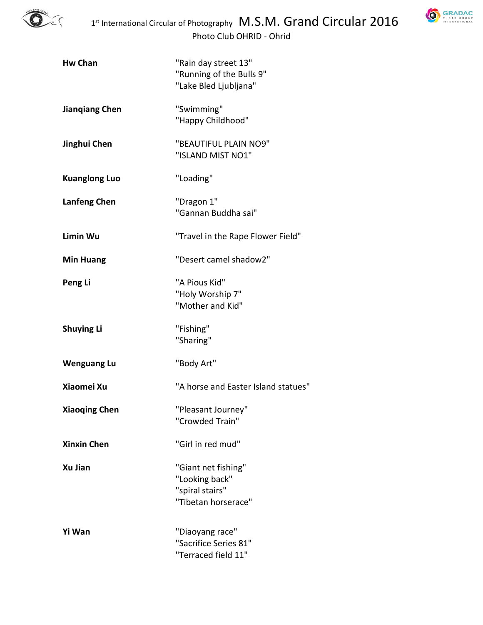



| <b>Hw Chan</b>        | "Rain day street 13"<br>"Running of the Bulls 9"<br>"Lake Bled Ljubljana"       |
|-----------------------|---------------------------------------------------------------------------------|
| <b>Jiangiang Chen</b> | "Swimming"<br>"Happy Childhood"                                                 |
| Jinghui Chen          | "BEAUTIFUL PLAIN NO9"<br>"ISLAND MIST NO1"                                      |
| <b>Kuanglong Luo</b>  | "Loading"                                                                       |
| <b>Lanfeng Chen</b>   | "Dragon 1"<br>"Gannan Buddha sai"                                               |
| Limin Wu              | "Travel in the Rape Flower Field"                                               |
| <b>Min Huang</b>      | "Desert camel shadow2"                                                          |
| Peng Li               | "A Pious Kid"<br>"Holy Worship 7"<br>"Mother and Kid"                           |
| <b>Shuying Li</b>     | "Fishing"<br>"Sharing"                                                          |
| <b>Wenguang Lu</b>    | "Body Art"                                                                      |
| Xiaomei Xu            | "A horse and Easter Island statues"                                             |
| <b>Xiaoqing Chen</b>  | "Pleasant Journey"<br>"Crowded Train"                                           |
| <b>Xinxin Chen</b>    | "Girl in red mud"                                                               |
| Xu Jian               | "Giant net fishing"<br>"Looking back"<br>"spiral stairs"<br>"Tibetan horserace" |
| Yi Wan                | "Diaoyang race"<br>"Sacrifice Series 81"<br>"Terraced field 11"                 |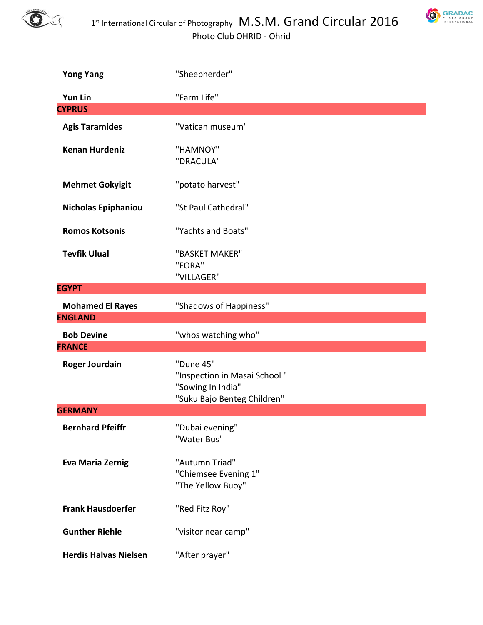



| <b>Yong Yang</b>         | "Sheepherder"                                                                                 |
|--------------------------|-----------------------------------------------------------------------------------------------|
| Yun Lin                  | "Farm Life"                                                                                   |
| <b>CYPRUS</b>            |                                                                                               |
| <b>Agis Taramides</b>    | "Vatican museum"                                                                              |
| <b>Kenan Hurdeniz</b>    | "HAMNOY"<br>"DRACULA"                                                                         |
| <b>Mehmet Gokyigit</b>   | "potato harvest"                                                                              |
| Nicholas Epiphaniou      | "St Paul Cathedral"                                                                           |
| <b>Romos Kotsonis</b>    | "Yachts and Boats"                                                                            |
| <b>Tevfik Ulual</b>      | "BASKET MAKER"<br>"FORA"<br>"VILLAGER"                                                        |
| <b>EGYPT</b>             |                                                                                               |
| <b>Mohamed El Rayes</b>  | "Shadows of Happiness"                                                                        |
|                          |                                                                                               |
| <b>ENGLAND</b>           |                                                                                               |
| <b>Bob Devine</b>        | "whos watching who"                                                                           |
| <b>FRANCE</b>            |                                                                                               |
| <b>Roger Jourdain</b>    | "Dune 45"<br>"Inspection in Masai School"<br>"Sowing In India"<br>"Suku Bajo Benteg Children" |
| <b>GERMANY</b>           |                                                                                               |
| <b>Bernhard Pfeiffr</b>  | "Dubai evening"<br>"Water Bus"                                                                |
| <b>Eva Maria Zernig</b>  | "Autumn Triad"<br>"Chiemsee Evening 1"<br>"The Yellow Buoy"                                   |
| <b>Frank Hausdoerfer</b> | "Red Fitz Roy"                                                                                |
| <b>Gunther Riehle</b>    | "visitor near camp"                                                                           |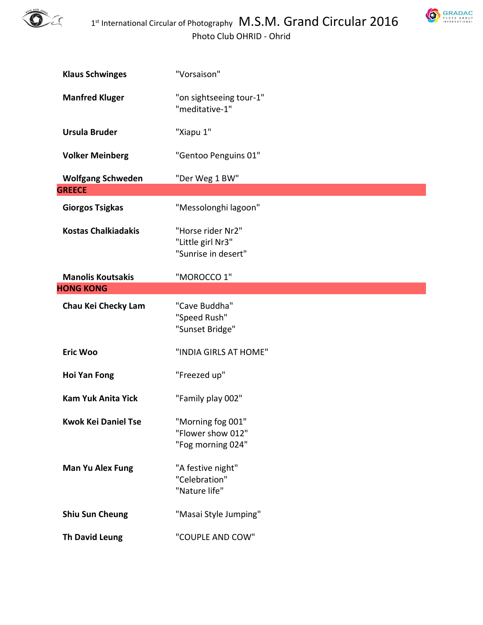



| <b>Klaus Schwinges</b>                    | "Vorsaison"                                                   |
|-------------------------------------------|---------------------------------------------------------------|
| <b>Manfred Kluger</b>                     | "on sightseeing tour-1"<br>"meditative-1"                     |
| <b>Ursula Bruder</b>                      | "Xiapu 1"                                                     |
| <b>Volker Meinberg</b>                    | "Gentoo Penguins 01"                                          |
| <b>Wolfgang Schweden</b><br><b>GREECE</b> | "Der Weg 1 BW"                                                |
| <b>Giorgos Tsigkas</b>                    | "Messolonghi lagoon"                                          |
| <b>Kostas Chalkiadakis</b>                | "Horse rider Nr2"<br>"Little girl Nr3"<br>"Sunrise in desert" |
| <b>Manolis Koutsakis</b>                  | "MOROCCO 1"                                                   |
| <b>HONG KONG</b>                          |                                                               |
| Chau Kei Checky Lam                       | "Cave Buddha"<br>"Speed Rush"<br>"Sunset Bridge"              |
| <b>Eric Woo</b>                           | "INDIA GIRLS AT HOME"                                         |
| <b>Hoi Yan Fong</b>                       | "Freezed up"                                                  |
| <b>Kam Yuk Anita Yick</b>                 | "Family play 002"                                             |
| <b>Kwok Kei Daniel Tse</b>                | "Morning fog 001"<br>"Flower show 012"<br>"Fog morning 024"   |
| <b>Man Yu Alex Fung</b>                   | "A festive night"<br>"Celebration"<br>"Nature life"           |
| <b>Shiu Sun Cheung</b>                    | "Masai Style Jumping"                                         |
| <b>Th David Leung</b>                     | "COUPLE AND COW"                                              |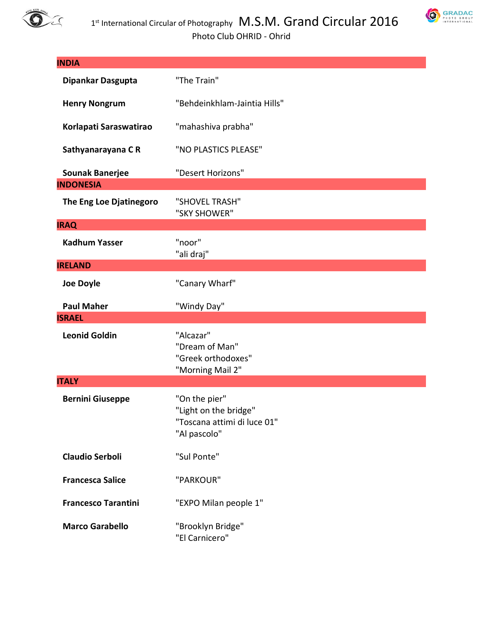

**SRADAC** 

| <b>INDIA</b>               |                                                                                       |
|----------------------------|---------------------------------------------------------------------------------------|
| Dipankar Dasgupta          | "The Train"                                                                           |
| <b>Henry Nongrum</b>       | "Behdeinkhlam-Jaintia Hills"                                                          |
| Korlapati Saraswatirao     | "mahashiva prabha"                                                                    |
| Sathyanarayana CR          | "NO PLASTICS PLEASE"                                                                  |
| <b>Sounak Banerjee</b>     | "Desert Horizons"                                                                     |
| <b>INDONESIA</b>           |                                                                                       |
| The Eng Loe Djatinegoro    | "SHOVEL TRASH"<br>"SKY SHOWER"                                                        |
| <b>IRAQ</b>                |                                                                                       |
| <b>Kadhum Yasser</b>       | "noor"<br>"ali draj"                                                                  |
| <b>IRELAND</b>             |                                                                                       |
| <b>Joe Doyle</b>           | "Canary Wharf"                                                                        |
| <b>Paul Maher</b>          | "Windy Day"                                                                           |
| <b>ISRAEL</b>              |                                                                                       |
| <b>Leonid Goldin</b>       | "Alcazar"<br>"Dream of Man"<br>"Greek orthodoxes"<br>"Morning Mail 2"                 |
| <b>ITALY</b>               |                                                                                       |
| <b>Bernini Giuseppe</b>    | "On the pier"<br>"Light on the bridge"<br>"Toscana attimi di luce 01"<br>"Al pascolo" |
| <b>Claudio Serboli</b>     | "Sul Ponte"                                                                           |
| <b>Francesca Salice</b>    | "PARKOUR"                                                                             |
| <b>Francesco Tarantini</b> | "EXPO Milan people 1"                                                                 |
| <b>Marco Garabello</b>     | "Brooklyn Bridge"<br>"El Carnicero"                                                   |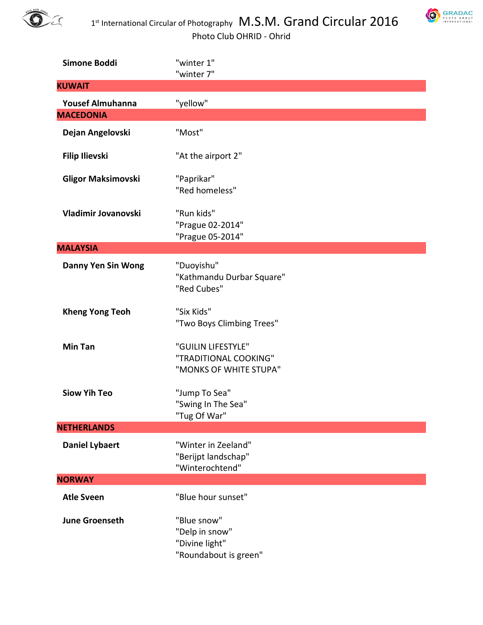



| Simone Boddi              | "winter 1"<br>"winter 7"                                                 |
|---------------------------|--------------------------------------------------------------------------|
| <b>KUWAIT</b>             |                                                                          |
| <b>Yousef Almuhanna</b>   | "yellow"                                                                 |
| <b>MACEDONIA</b>          |                                                                          |
| Dejan Angelovski          | "Most"                                                                   |
| <b>Filip Ilievski</b>     | "At the airport 2"                                                       |
| <b>Gligor Maksimovski</b> | "Paprikar"<br>"Red homeless"                                             |
| Vladimir Jovanovski       | "Run kids"<br>"Prague 02-2014"<br>"Prague 05-2014"                       |
| <b>MALAYSIA</b>           |                                                                          |
| <b>Danny Yen Sin Wong</b> | "Duoyishu"<br>"Kathmandu Durbar Square"<br>"Red Cubes"                   |
| <b>Kheng Yong Teoh</b>    | "Six Kids"<br>"Two Boys Climbing Trees"                                  |
| <b>Min Tan</b>            | "GUILIN LIFESTYLE"<br>"TRADITIONAL COOKING"<br>"MONKS OF WHITE STUPA"    |
| <b>Siow Yih Teo</b>       | "Jump To Sea"<br>"Swing In The Sea"<br>"Tug Of War"                      |
| <b>NETHERLANDS</b>        |                                                                          |
| <b>Daniel Lybaert</b>     | "Winter in Zeeland"<br>"Berijpt landschap"<br>"Winterochtend"            |
| <b>NORWAY</b>             |                                                                          |
| <b>Atle Sveen</b>         | "Blue hour sunset"                                                       |
| <b>June Groenseth</b>     | "Blue snow"<br>"Delp in snow"<br>"Divine light"<br>"Roundabout is green" |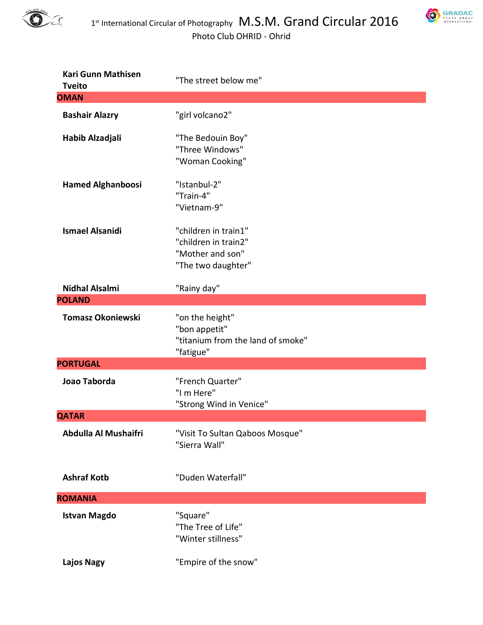



| <b>Kari Gunn Mathisen</b><br><b>Tveito</b> | "The street below me"                                                                  |
|--------------------------------------------|----------------------------------------------------------------------------------------|
| <b>OMAN</b>                                |                                                                                        |
| <b>Bashair Alazry</b>                      | "girl volcano2"                                                                        |
| Habib Alzadjali                            | "The Bedouin Boy"<br>"Three Windows"<br>"Woman Cooking"                                |
| <b>Hamed Alghanboosi</b>                   | "Istanbul-2"<br>"Train-4"<br>"Vietnam-9"                                               |
| <b>Ismael Alsanidi</b>                     | "children in train1"<br>"children in train2"<br>"Mother and son"<br>"The two daughter" |
| <b>Nidhal Alsalmi</b><br><b>POLAND</b>     | "Rainy day"                                                                            |
| <b>Tomasz Okoniewski</b>                   | "on the height"<br>"bon appetit"<br>"titanium from the land of smoke"<br>"fatigue"     |
| <b>PORTUGAL</b>                            |                                                                                        |
| Joao Taborda                               | "French Quarter"<br>"I m Here"<br>"Strong Wind in Venice"                              |
| <b>QATAR</b>                               |                                                                                        |
| Abdulla Al Mushaifri                       | "Visit To Sultan Qaboos Mosque"<br>"Sierra Wall"                                       |
| <b>Ashraf Kotb</b>                         | "Duden Waterfall"                                                                      |
| <b>ROMANIA</b>                             |                                                                                        |
| <b>Istvan Magdo</b>                        | "Square"<br>"The Tree of Life"<br>"Winter stillness"                                   |
| <b>Lajos Nagy</b>                          | "Empire of the snow"                                                                   |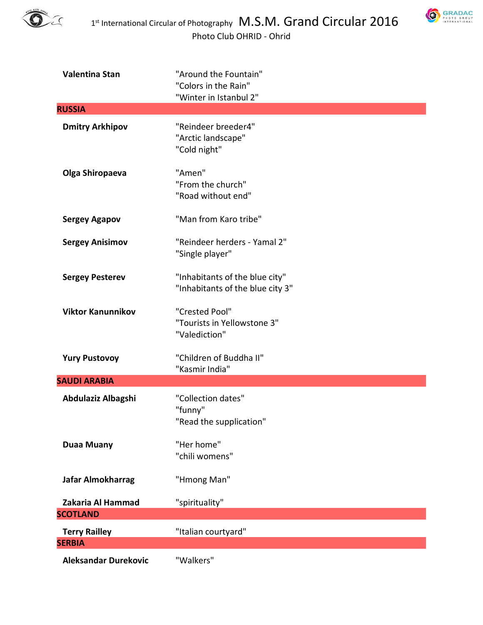



| <b>Valentina Stan</b>                 | "Around the Fountain"<br>"Colors in the Rain"<br>"Winter in Istanbul 2" |
|---------------------------------------|-------------------------------------------------------------------------|
| <b>RUSSIA</b>                         |                                                                         |
| <b>Dmitry Arkhipov</b>                | "Reindeer breeder4"<br>"Arctic landscape"<br>"Cold night"               |
| Olga Shiropaeva                       | "Amen"<br>"From the church"<br>"Road without end"                       |
| <b>Sergey Agapov</b>                  | "Man from Karo tribe"                                                   |
| <b>Sergey Anisimov</b>                | "Reindeer herders - Yamal 2"<br>"Single player"                         |
| <b>Sergey Pesterev</b>                | "Inhabitants of the blue city"<br>"Inhabitants of the blue city 3"      |
| <b>Viktor Kanunnikov</b>              | "Crested Pool"<br>"Tourists in Yellowstone 3"<br>"Valediction"          |
| <b>Yury Pustovoy</b>                  | "Children of Buddha II"<br>"Kasmir India"                               |
| <b>SAUDI ARABIA</b>                   |                                                                         |
| Abdulaziz Albagshi                    | "Collection dates"<br>"funny"<br>"Read the supplication"                |
| <b>Duaa Muany</b>                     | "Her home"<br>"chili womens"                                            |
| Jafar Almokharrag                     | "Hmong Man"                                                             |
| Zakaria Al Hammad<br><b>SCOTLAND</b>  | "spirituality"                                                          |
|                                       |                                                                         |
| <b>Terry Railley</b><br><b>SERBIA</b> | "Italian courtyard"                                                     |
| <b>Aleksandar Durekovic</b>           | "Walkers"                                                               |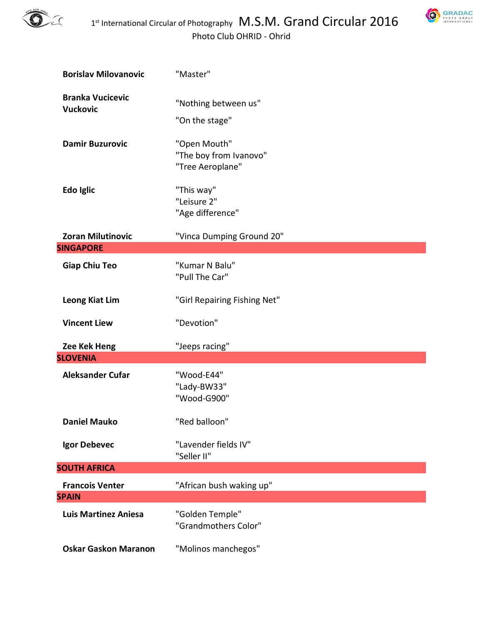



| <b>Borislav Milovanovic</b>                | "Master"                                                   |
|--------------------------------------------|------------------------------------------------------------|
| <b>Branka Vucicevic</b><br><b>Vuckovic</b> | "Nothing between us"<br>"On the stage"                     |
| <b>Damir Buzurovic</b>                     | "Open Mouth"<br>"The boy from Ivanovo"<br>"Tree Aeroplane" |
| Edo Iglic                                  | "This way"<br>"Leisure 2"<br>"Age difference"              |
| <b>Zoran Milutinovic</b>                   | "Vinca Dumping Ground 20"                                  |
| <b>SINGAPORE</b>                           |                                                            |
| <b>Giap Chiu Teo</b>                       | "Kumar N Balu"<br>"Pull The Car"                           |
| Leong Kiat Lim                             | "Girl Repairing Fishing Net"                               |
| <b>Vincent Liew</b>                        | "Devotion"                                                 |
| Zee Kek Heng                               | "Jeeps racing"                                             |
| <b>SLOVENIA</b>                            |                                                            |
| <b>Aleksander Cufar</b>                    | "Wood-E44"<br>"Lady-BW33"<br>"Wood-G900"                   |
| <b>Daniel Mauko</b>                        | "Red balloon"                                              |
| Igor Debevec                               | "Lavender fields IV"<br>"Seller II"                        |
| <b>SOUTH AFRICA</b>                        |                                                            |
| <b>Francois Venter</b>                     | "African bush waking up"                                   |
| <b>SPAIN</b>                               |                                                            |
| <b>Luis Martinez Aniesa</b>                | "Golden Temple"<br>"Grandmothers Color"                    |
| <b>Oskar Gaskon Maranon</b>                | "Molinos manchegos"                                        |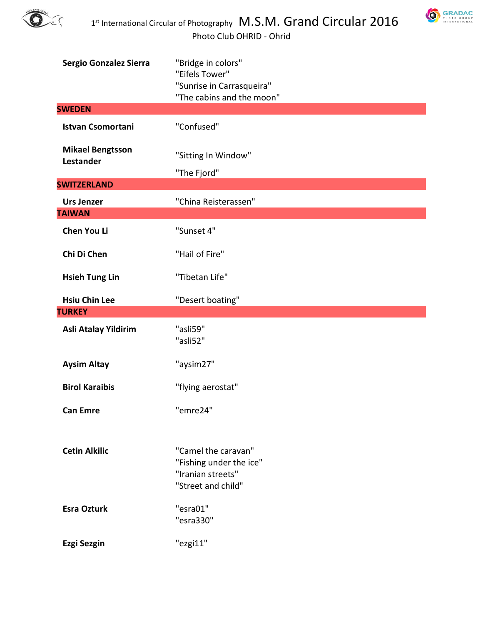



| Sergio Gonzalez Sierra               | "Bridge in colors"                                                                        |
|--------------------------------------|-------------------------------------------------------------------------------------------|
|                                      | "Eifels Tower"<br>"Sunrise in Carrasqueira"                                               |
|                                      | "The cabins and the moon"                                                                 |
| <b>SWEDEN</b>                        |                                                                                           |
| <b>Istvan Csomortani</b>             | "Confused"                                                                                |
| <b>Mikael Bengtsson</b><br>Lestander | "Sitting In Window"                                                                       |
|                                      | "The Fjord"                                                                               |
| <b>SWITZERLAND</b>                   |                                                                                           |
| <b>Urs Jenzer</b>                    | "China Reisterassen"                                                                      |
| <b>TAIWAN</b>                        |                                                                                           |
| Chen You Li                          | "Sunset 4"                                                                                |
| Chi Di Chen                          | "Hail of Fire"                                                                            |
| <b>Hsieh Tung Lin</b>                | "Tibetan Life"                                                                            |
| <b>Hsiu Chin Lee</b>                 | "Desert boating"                                                                          |
|                                      |                                                                                           |
| <b>TURKEY</b>                        |                                                                                           |
| Asli Atalay Yildirim                 | "asli59"<br>"asli52"                                                                      |
| <b>Aysim Altay</b>                   | "aysim27"                                                                                 |
| <b>Birol Karaibis</b>                | "flying aerostat"                                                                         |
| <b>Can Emre</b>                      | "emre24"                                                                                  |
|                                      |                                                                                           |
| <b>Cetin Alkilic</b>                 | "Camel the caravan"<br>"Fishing under the ice"<br>"Iranian streets"<br>"Street and child" |
| <b>Esra Ozturk</b>                   | "esra01"<br>"esra330"                                                                     |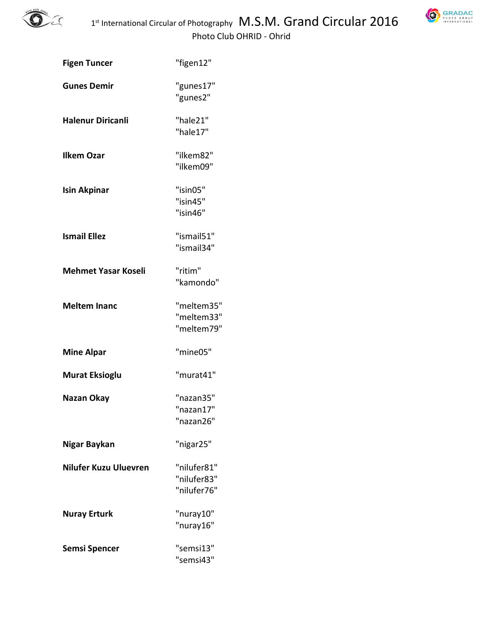

| <b>GRADAC</b><br>PHOTO GROUP<br>INTERNATIONAL |
|-----------------------------------------------|
|                                               |

| <b>Figen Tuncer</b>          | "figen12"                                 |
|------------------------------|-------------------------------------------|
| <b>Gunes Demir</b>           | "gunes17"<br>"gunes2"                     |
| <b>Halenur Diricanli</b>     | "hale21"<br>"hale17"                      |
| <b>Ilkem Ozar</b>            | "ilkem82"<br>"ilkem09"                    |
| <b>Isin Akpinar</b>          | "isin05"<br>"isin45"<br>"isin46"          |
| <b>Ismail Ellez</b>          | "ismail51"<br>"ismail34"                  |
| <b>Mehmet Yasar Koseli</b>   | "ritim"<br>"kamondo"                      |
| <b>Meltem Inanc</b>          | "meltem35"<br>"meltem33"<br>"meltem79"    |
| <b>Mine Alpar</b>            | "mine05"                                  |
| <b>Murat Eksioglu</b>        | "murat41"                                 |
| Nazan Okay                   | "nazan35"<br>"nazan17"<br>"nazan26"       |
| Nigar Baykan                 | "nigar25"                                 |
| <b>Nilufer Kuzu Uluevren</b> | "nilufer81"<br>"nilufer83"<br>"nilufer76" |
| <b>Nuray Erturk</b>          | "nuray10"<br>"nuray16"                    |
| Semsi Spencer                | "semsi13"<br>"semsi43"                    |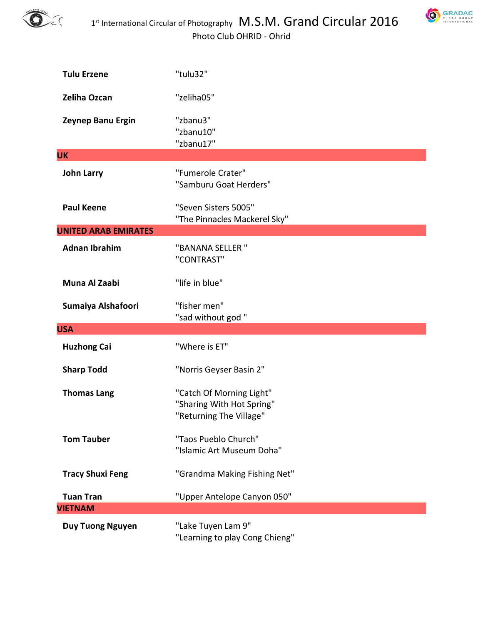



| <b>Tulu Erzene</b>          | "tulu32"                                                                         |
|-----------------------------|----------------------------------------------------------------------------------|
| Zeliha Ozcan                | "zeliha05"                                                                       |
| Zeynep Banu Ergin           | "zbanu3"<br>"zbanu10"<br>"zbanu17"                                               |
| <b>UK</b>                   |                                                                                  |
| <b>John Larry</b>           | "Fumerole Crater"<br>"Samburu Goat Herders"                                      |
| <b>Paul Keene</b>           | "Seven Sisters 5005"<br>"The Pinnacles Mackerel Sky"                             |
| <b>UNITED ARAB EMIRATES</b> |                                                                                  |
| <b>Adnan Ibrahim</b>        | "BANANA SELLER "<br>"CONTRAST"                                                   |
| Muna Al Zaabi               | "life in blue"                                                                   |
| Sumaiya Alshafoori          | "fisher men"<br>"sad without god"                                                |
| <b>USA</b>                  |                                                                                  |
| <b>Huzhong Cai</b>          | "Where is ET"                                                                    |
| <b>Sharp Todd</b>           | "Norris Geyser Basin 2"                                                          |
| <b>Thomas Lang</b>          | "Catch Of Morning Light"<br>"Sharing With Hot Spring"<br>"Returning The Village" |
| <b>Tom Tauber</b>           | "Taos Pueblo Church"<br>"Islamic Art Museum Doha"                                |
| <b>Tracy Shuxi Feng</b>     | "Grandma Making Fishing Net"                                                     |
| <b>Tuan Tran</b>            | "Upper Antelope Canyon 050"                                                      |
| <b>VIETNAM</b>              |                                                                                  |
| <b>Duy Tuong Nguyen</b>     | "Lake Tuyen Lam 9"<br>"Learning to play Cong Chieng"                             |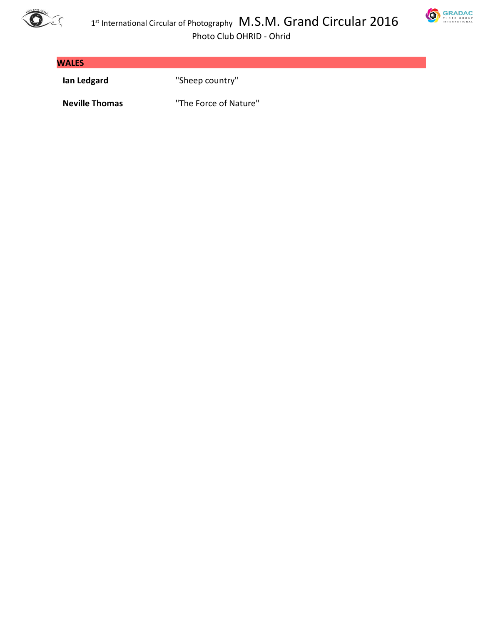



**SRADAC** 

Photo Club OHRID - Ohrid

| <b>WALES</b> |                 |
|--------------|-----------------|
| lan Ledgard  | "Sheep country" |

**Neville Thomas** "The Force of Nature"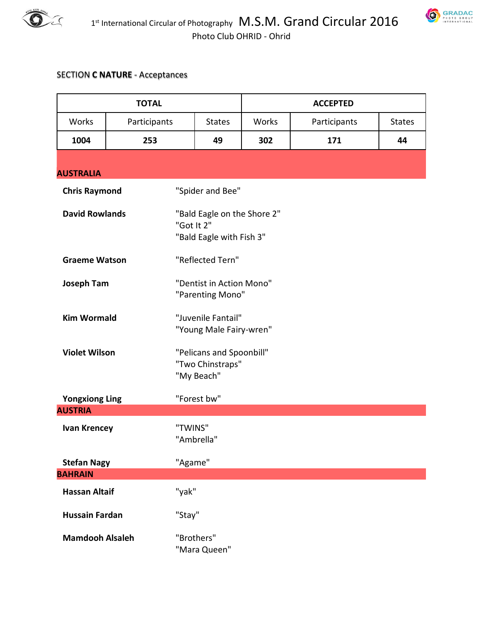



## SECTION **C NATURE** - Acceptances

| <b>TOTAL</b>                                 |                                 |                                                                       | <b>ACCEPTED</b> |              |               |
|----------------------------------------------|---------------------------------|-----------------------------------------------------------------------|-----------------|--------------|---------------|
| Works                                        | Participants                    | <b>States</b>                                                         | Works           | Participants | <b>States</b> |
| 1004                                         | 253                             | 49                                                                    | 302             | 171          | 44            |
| <b>AUSTRALIA</b>                             |                                 |                                                                       |                 |              |               |
| <b>Chris Raymond</b>                         |                                 | "Spider and Bee"                                                      |                 |              |               |
| <b>David Rowlands</b>                        |                                 | "Bald Eagle on the Shore 2"<br>"Got It 2"<br>"Bald Eagle with Fish 3" |                 |              |               |
| <b>Graeme Watson</b>                         |                                 | "Reflected Tern"                                                      |                 |              |               |
| <b>Joseph Tam</b>                            |                                 | "Dentist in Action Mono"<br>"Parenting Mono"                          |                 |              |               |
| <b>Kim Wormald</b>                           |                                 | "Juvenile Fantail"<br>"Young Male Fairy-wren"                         |                 |              |               |
| <b>Violet Wilson</b>                         |                                 | "Pelicans and Spoonbill"<br>"Two Chinstraps"<br>"My Beach"            |                 |              |               |
| "Forest bw"<br><b>Yongxiong Ling</b>         |                                 |                                                                       |                 |              |               |
| <b>AUSTRIA</b>                               |                                 |                                                                       |                 |              |               |
| "TWINS"<br><b>Ivan Krencey</b><br>"Ambrella" |                                 |                                                                       |                 |              |               |
| <b>Stefan Nagy</b><br>"Agame"                |                                 |                                                                       |                 |              |               |
| <b>BAHRAIN</b>                               |                                 |                                                                       |                 |              |               |
| <b>Hassan Altaif</b>                         | "yak"                           |                                                                       |                 |              |               |
|                                              | "Stay"<br><b>Hussain Fardan</b> |                                                                       |                 |              |               |
| <b>Mamdooh Alsaleh</b>                       |                                 | "Brothers"<br>"Mara Queen"                                            |                 |              |               |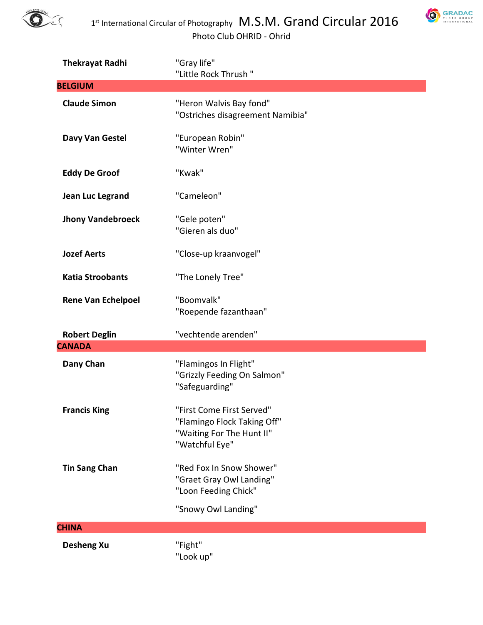



| <b>Thekrayat Radhi</b>    | "Gray life"<br>"Little Rock Thrush"                                                                     |
|---------------------------|---------------------------------------------------------------------------------------------------------|
| <b>BELGIUM</b>            |                                                                                                         |
| <b>Claude Simon</b>       | "Heron Walvis Bay fond"<br>"Ostriches disagreement Namibia"                                             |
| Davy Van Gestel           | "European Robin"<br>"Winter Wren"                                                                       |
| <b>Eddy De Groof</b>      | "Kwak"                                                                                                  |
| Jean Luc Legrand          | "Cameleon"                                                                                              |
| <b>Jhony Vandebroeck</b>  | "Gele poten"<br>"Gieren als duo"                                                                        |
| <b>Jozef Aerts</b>        | "Close-up kraanvogel"                                                                                   |
| <b>Katia Stroobants</b>   | "The Lonely Tree"                                                                                       |
| <b>Rene Van Echelpoel</b> | "Boomvalk"<br>"Roepende fazanthaan"                                                                     |
| <b>Robert Deglin</b>      | "vechtende arenden"                                                                                     |
| <b>CANADA</b>             |                                                                                                         |
| Dany Chan                 | "Flamingos In Flight"<br>"Grizzly Feeding On Salmon"<br>"Safeguarding"                                  |
| <b>Francis King</b>       | "First Come First Served"<br>"Flamingo Flock Taking Off"<br>"Waiting For The Hunt II"<br>"Watchful Eye" |
| <b>Tin Sang Chan</b>      | "Red Fox In Snow Shower"<br>"Graet Gray Owl Landing"<br>"Loon Feeding Chick"                            |
|                           | "Snowy Owl Landing"                                                                                     |
| <b>CHINA</b>              |                                                                                                         |
| <b>Desheng Xu</b>         | "Fight"<br>"Look up"                                                                                    |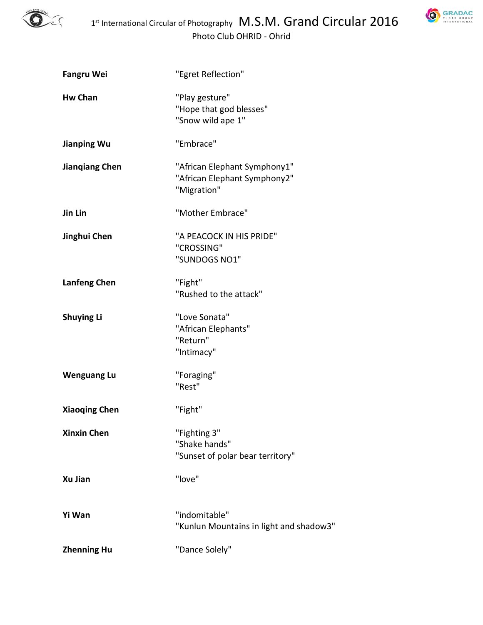

**SRADAC** 

| <b>Fangru Wei</b>     | "Egret Reflection"                                                          |
|-----------------------|-----------------------------------------------------------------------------|
| <b>Hw Chan</b>        | "Play gesture"<br>"Hope that god blesses"<br>"Snow wild ape 1"              |
| <b>Jianping Wu</b>    | "Embrace"                                                                   |
| <b>Jiangiang Chen</b> | "African Elephant Symphony1"<br>"African Elephant Symphony2"<br>"Migration" |
| Jin Lin               | "Mother Embrace"                                                            |
| Jinghui Chen          | "A PEACOCK IN HIS PRIDE"<br>"CROSSING"<br>"SUNDOGS NO1"                     |
| Lanfeng Chen          | "Fight"<br>"Rushed to the attack"                                           |
| <b>Shuying Li</b>     | "Love Sonata"<br>"African Elephants"<br>"Return"<br>"Intimacy"              |
| <b>Wenguang Lu</b>    | "Foraging"<br>"Rest"                                                        |
| <b>Xiaoqing Chen</b>  | "Fight"                                                                     |
| <b>Xinxin Chen</b>    | "Fighting 3"<br>"Shake hands"<br>"Sunset of polar bear territory"           |
| <b>Xu Jian</b>        | "love"                                                                      |
| Yi Wan                | "indomitable"<br>"Kunlun Mountains in light and shadow3"                    |
| <b>Zhenning Hu</b>    | "Dance Solely"                                                              |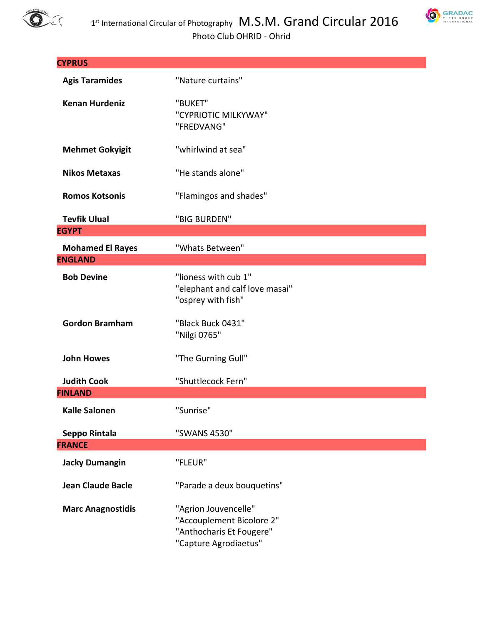



| <b>CYPRUS</b>            |                                                                                                        |  |
|--------------------------|--------------------------------------------------------------------------------------------------------|--|
| <b>Agis Taramides</b>    | "Nature curtains"                                                                                      |  |
| <b>Kenan Hurdeniz</b>    | "BUKET"<br>"CYPRIOTIC MILKYWAY"<br>"FREDVANG"                                                          |  |
| <b>Mehmet Gokyigit</b>   | "whirlwind at sea"                                                                                     |  |
| <b>Nikos Metaxas</b>     | "He stands alone"                                                                                      |  |
| <b>Romos Kotsonis</b>    | "Flamingos and shades"                                                                                 |  |
| <b>Tevfik Ulual</b>      | "BIG BURDEN"                                                                                           |  |
| <b>EGYPT</b>             |                                                                                                        |  |
| <b>Mohamed El Rayes</b>  | "Whats Between"                                                                                        |  |
| <b>ENGLAND</b>           |                                                                                                        |  |
| <b>Bob Devine</b>        | "lioness with cub 1"<br>"elephant and calf love masai"<br>"osprey with fish"                           |  |
| <b>Gordon Bramham</b>    | "Black Buck 0431"<br>"Nilgi 0765"                                                                      |  |
| <b>John Howes</b>        | "The Gurning Gull"                                                                                     |  |
| <b>Judith Cook</b>       | "Shuttlecock Fern"                                                                                     |  |
| <b>FINLAND</b>           |                                                                                                        |  |
| <b>Kalle Salonen</b>     | "Sunrise"                                                                                              |  |
| Seppo Rintala            | "SWANS 4530"                                                                                           |  |
| <b>FRANCE</b>            |                                                                                                        |  |
| <b>Jacky Dumangin</b>    | "FLEUR"                                                                                                |  |
| <b>Jean Claude Bacle</b> | "Parade a deux bouquetins"                                                                             |  |
| <b>Marc Anagnostidis</b> | "Agrion Jouvencelle"<br>"Accouplement Bicolore 2"<br>"Anthocharis Et Fougere"<br>"Capture Agrodiaetus" |  |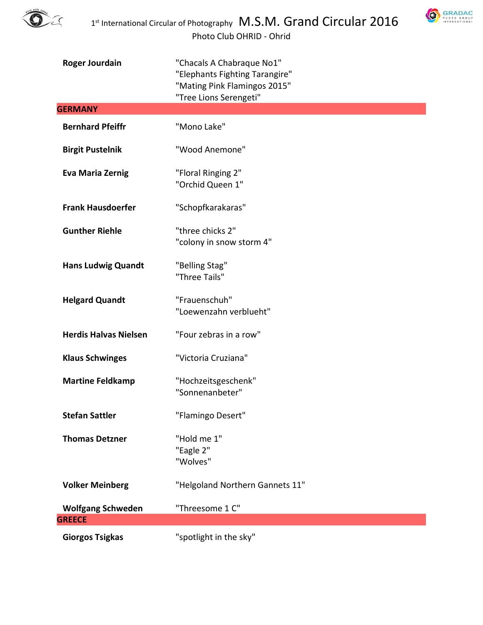

**SRADAC** 

| <b>Roger Jourdain</b>        | "Chacals A Chabraque No1"<br>"Elephants Fighting Tarangire"<br>"Mating Pink Flamingos 2015"<br>"Tree Lions Serengeti" |
|------------------------------|-----------------------------------------------------------------------------------------------------------------------|
| <b>GERMANY</b>               |                                                                                                                       |
| <b>Bernhard Pfeiffr</b>      | "Mono Lake"                                                                                                           |
| <b>Birgit Pustelnik</b>      | "Wood Anemone"                                                                                                        |
| <b>Eva Maria Zernig</b>      | "Floral Ringing 2"<br>"Orchid Queen 1"                                                                                |
| <b>Frank Hausdoerfer</b>     | "Schopfkarakaras"                                                                                                     |
| <b>Gunther Riehle</b>        | "three chicks 2"<br>"colony in snow storm 4"                                                                          |
| <b>Hans Ludwig Quandt</b>    | "Belling Stag"<br>"Three Tails"                                                                                       |
| <b>Helgard Quandt</b>        | "Frauenschuh"<br>"Loewenzahn verblueht"                                                                               |
| <b>Herdis Halvas Nielsen</b> | "Four zebras in a row"                                                                                                |
| <b>Klaus Schwinges</b>       | "Victoria Cruziana"                                                                                                   |
| <b>Martine Feldkamp</b>      | "Hochzeitsgeschenk"<br>"Sonnenanbeter"                                                                                |
| <b>Stefan Sattler</b>        | "Flamingo Desert"                                                                                                     |
| <b>Thomas Detzner</b>        | "Hold me 1"<br>"Eagle 2"<br>"Wolves"                                                                                  |
| <b>Volker Meinberg</b>       | "Helgoland Northern Gannets 11"                                                                                       |
| <b>Wolfgang Schweden</b>     | "Threesome 1 C"                                                                                                       |
| <b>GREECE</b>                |                                                                                                                       |
| <b>Giorgos Tsigkas</b>       | "spotlight in the sky"                                                                                                |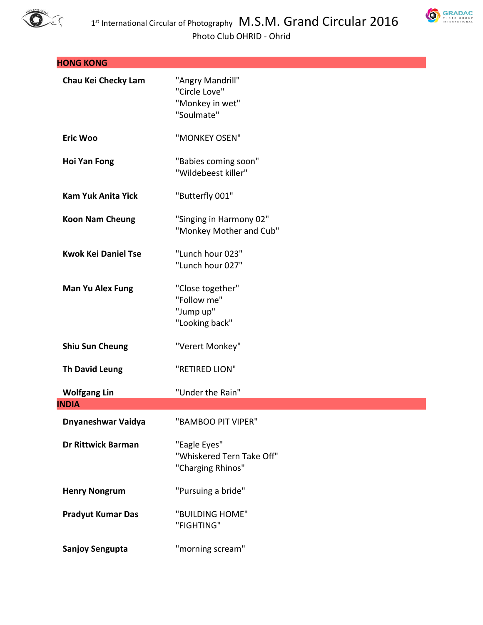



| <b>HONG KONG</b>           |                                                                    |
|----------------------------|--------------------------------------------------------------------|
| Chau Kei Checky Lam        | "Angry Mandrill"<br>"Circle Love"<br>"Monkey in wet"<br>"Soulmate" |
| <b>Eric Woo</b>            | "MONKEY OSEN"                                                      |
| <b>Hoi Yan Fong</b>        | "Babies coming soon"<br>"Wildebeest killer"                        |
| <b>Kam Yuk Anita Yick</b>  | "Butterfly 001"                                                    |
| <b>Koon Nam Cheung</b>     | "Singing in Harmony 02"<br>"Monkey Mother and Cub"                 |
| <b>Kwok Kei Daniel Tse</b> | "Lunch hour 023"<br>"Lunch hour 027"                               |
| <b>Man Yu Alex Fung</b>    | "Close together"<br>"Follow me"<br>"Jump up"<br>"Looking back"     |
| <b>Shiu Sun Cheung</b>     | "Verert Monkey"                                                    |
| <b>Th David Leung</b>      | "RETIRED LION"                                                     |
| <b>Wolfgang Lin</b>        | "Under the Rain"                                                   |
| <b>INDIA</b>               |                                                                    |
| Dnyaneshwar Vaidya         | "BAMBOO PIT VIPER"                                                 |
| Dr Rittwick Barman         | "Eagle Eyes"<br>"Whiskered Tern Take Off"<br>"Charging Rhinos"     |
| <b>Henry Nongrum</b>       | "Pursuing a bride"                                                 |
| <b>Pradyut Kumar Das</b>   | "BUILDING HOME"<br>"FIGHTING"                                      |
| <b>Sanjoy Sengupta</b>     | "morning scream"                                                   |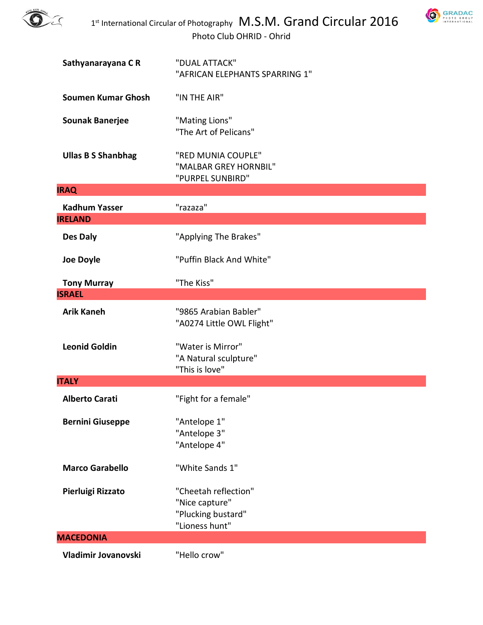



| Sathyanarayana CR                      | "DUAL ATTACK"<br>"AFRICAN ELEPHANTS SPARRING 1"                                |
|----------------------------------------|--------------------------------------------------------------------------------|
| <b>Soumen Kumar Ghosh</b>              | "IN THE AIR"                                                                   |
| <b>Sounak Banerjee</b>                 | "Mating Lions"<br>"The Art of Pelicans"                                        |
| <b>Ullas B S Shanbhag</b>              | "RED MUNIA COUPLE"<br>"MALBAR GREY HORNBIL"<br>"PURPEL SUNBIRD"                |
| <b>IRAQ</b>                            |                                                                                |
| <b>Kadhum Yasser</b><br><b>IRELAND</b> | "razaza"                                                                       |
| Des Daly                               | "Applying The Brakes"                                                          |
| <b>Joe Doyle</b>                       | "Puffin Black And White"                                                       |
| <b>Tony Murray</b><br><b>ISRAEL</b>    | "The Kiss"                                                                     |
|                                        |                                                                                |
| <b>Arik Kaneh</b>                      | "9865 Arabian Babler"<br>"A0274 Little OWL Flight"                             |
| <b>Leonid Goldin</b>                   | "Water is Mirror"<br>"A Natural sculpture"<br>"This is love"                   |
| <b>ITALY</b>                           |                                                                                |
| <b>Alberto Carati</b>                  | "Fight for a female"                                                           |
| <b>Bernini Giuseppe</b>                | "Antelope 1"<br>"Antelope 3"<br>"Antelope 4"                                   |
| <b>Marco Garabello</b>                 | "White Sands 1"                                                                |
| Pierluigi Rizzato                      | "Cheetah reflection"<br>"Nice capture"<br>"Plucking bustard"<br>"Lioness hunt" |
| <b>MACEDONIA</b>                       |                                                                                |
| Vladimir Jovanovski                    | "Hello crow"                                                                   |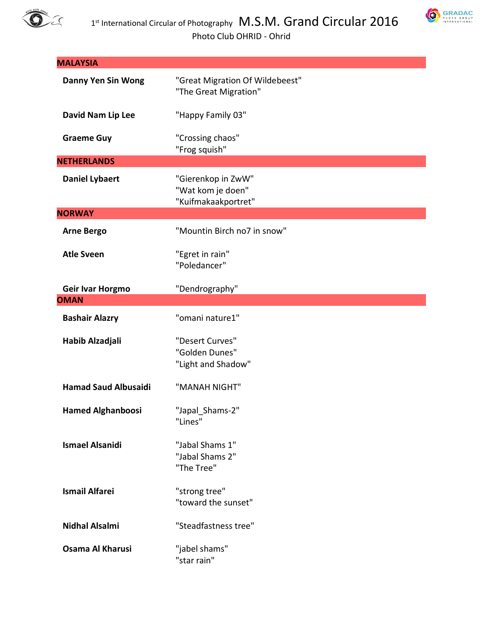



| <b>MALAYSIA</b>             |                                                                |
|-----------------------------|----------------------------------------------------------------|
| <b>Danny Yen Sin Wong</b>   | "Great Migration Of Wildebeest"<br>"The Great Migration"       |
| David Nam Lip Lee           | "Happy Family 03"                                              |
| <b>Graeme Guy</b>           | "Crossing chaos"<br>"Frog squish"                              |
| <b>NETHERLANDS</b>          |                                                                |
| <b>Daniel Lybaert</b>       | "Gierenkop in ZwW"<br>"Wat kom je doen"<br>"Kuifmakaakportret" |
| <b>NORWAY</b>               |                                                                |
| <b>Arne Bergo</b>           | "Mountin Birch no7 in snow"                                    |
| <b>Atle Sveen</b>           | "Egret in rain"<br>"Poledancer"                                |
| Geir Ivar Horgmo            | "Dendrography"                                                 |
| <b>OMAN</b>                 |                                                                |
| <b>Bashair Alazry</b>       | "omani nature1"                                                |
| Habib Alzadjali             | "Desert Curves"<br>"Golden Dunes"<br>"Light and Shadow"        |
| <b>Hamad Saud Albusaidi</b> | "MANAH NIGHT"                                                  |
| <b>Hamed Alghanboosi</b>    | "Japal_Shams-2"<br>"Lines"                                     |
| <b>Ismael Alsanidi</b>      | "Jabal Shams 1"<br>"Jabal Shams 2"<br>"The Tree"               |
| <b>Ismail Alfarei</b>       | "strong tree"<br>"toward the sunset"                           |
| <b>Nidhal Alsalmi</b>       | "Steadfastness tree"                                           |
| Osama Al Kharusi            | "jabel shams"<br>"star rain"                                   |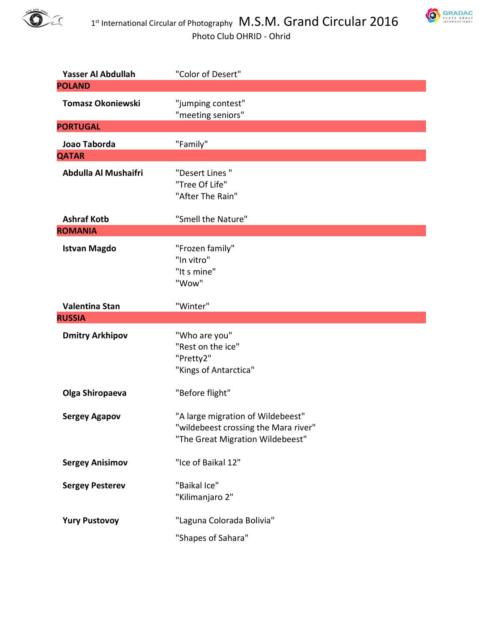



| Yasser Al Abdullah                   | "Color of Desert"                    |
|--------------------------------------|--------------------------------------|
| <b>POLAND</b>                        |                                      |
| <b>Tomasz Okoniewski</b>             | "jumping contest"                    |
|                                      | "meeting seniors"                    |
| <b>PORTUGAL</b>                      |                                      |
| Joao Taborda                         | "Family"                             |
| <b>QATAR</b>                         |                                      |
| Abdulla Al Mushaifri                 | "Desert Lines"                       |
|                                      | "Tree Of Life"                       |
|                                      | "After The Rain"                     |
|                                      |                                      |
| <b>Ashraf Kotb</b><br><b>ROMANIA</b> | "Smell the Nature"                   |
|                                      |                                      |
| <b>Istvan Magdo</b>                  | "Frozen family"                      |
|                                      | "In vitro"                           |
|                                      | "It s mine"<br>"Wow"                 |
|                                      |                                      |
| <b>Valentina Stan</b>                | "Winter"                             |
| <b>RUSSIA</b>                        |                                      |
| <b>Dmitry Arkhipov</b>               | "Who are you"                        |
|                                      | "Rest on the ice"                    |
|                                      | "Pretty2"                            |
|                                      | "Kings of Antarctica"                |
|                                      |                                      |
| Olga Shiropaeva                      | "Before flight"                      |
| <b>Sergey Agapov</b>                 | "A large migration of Wildebeest"    |
|                                      | "wildebeest crossing the Mara river" |
|                                      | "The Great Migration Wildebeest"     |
|                                      |                                      |
| <b>Sergey Anisimov</b>               | "Ice of Baikal 12"                   |
| <b>Sergey Pesterev</b>               | "Baikal Ice"                         |
|                                      | "Kilimanjaro 2"                      |
|                                      |                                      |
| <b>Yury Pustovoy</b>                 | "Laguna Colorada Bolivia"            |
|                                      | "Shapes of Sahara"                   |
|                                      |                                      |
|                                      |                                      |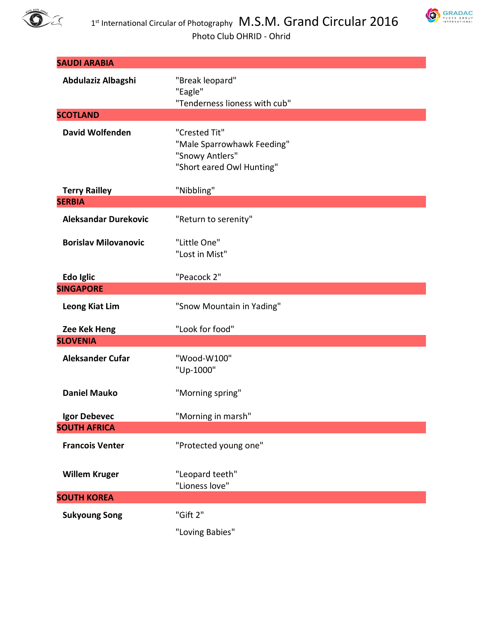



| <b>SAUDI ARABIA</b>                   |                                                                                             |
|---------------------------------------|---------------------------------------------------------------------------------------------|
| Abdulaziz Albagshi                    | "Break leopard"<br>"Eagle"<br>"Tenderness lioness with cub"                                 |
| <b>SCOTLAND</b>                       |                                                                                             |
| <b>David Wolfenden</b>                | "Crested Tit"<br>"Male Sparrowhawk Feeding"<br>"Snowy Antlers"<br>"Short eared Owl Hunting" |
| <b>Terry Railley</b><br><b>SERBIA</b> | "Nibbling"                                                                                  |
| <b>Aleksandar Durekovic</b>           | "Return to serenity"                                                                        |
| <b>Borislav Milovanovic</b>           | "Little One"<br>"Lost in Mist"                                                              |
| Edo Iglic                             | "Peacock 2"                                                                                 |
| <b>SINGAPORE</b>                      |                                                                                             |
| <b>Leong Kiat Lim</b>                 | "Snow Mountain in Yading"                                                                   |
| Zee Kek Heng                          | "Look for food"                                                                             |
| <b>SLOVENIA</b>                       |                                                                                             |
| <b>Aleksander Cufar</b>               | "Wood-W100"<br>"Up-1000"                                                                    |
| <b>Daniel Mauko</b>                   | "Morning spring"                                                                            |
| Igor Debevec                          | "Morning in marsh"                                                                          |
| <b>SOUTH AFRICA</b>                   |                                                                                             |
| <b>Francois Venter</b>                | "Protected young one"                                                                       |
| <b>Willem Kruger</b>                  | "Leopard teeth"<br>"Lioness love"                                                           |
| <b>SOUTH KOREA</b>                    |                                                                                             |
| <b>Sukyoung Song</b>                  | "Gift 2"                                                                                    |
|                                       | "Loving Babies"                                                                             |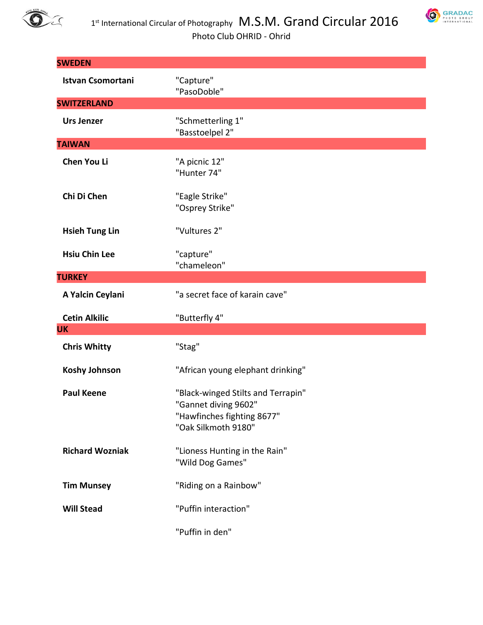

**SWEDEN**

**SWITZERLAND**

**TAIWAN**



| $1st$ International Circular of Photography $M.S.M.$ Grand Circular 2<br>Photo Club OHRID - Ohrid |                                      |  |
|---------------------------------------------------------------------------------------------------|--------------------------------------|--|
| <b>WEDEN</b>                                                                                      |                                      |  |
| <b>Istvan Csomortani</b>                                                                          | "Capture"<br>"PasoDoble"             |  |
| <b>WITZERLAND</b>                                                                                 |                                      |  |
| Urs Jenzer                                                                                        | "Schmetterling 1"<br>"Basstoelpel 2" |  |
| <b>AIWAN</b>                                                                                      |                                      |  |
| <b>Chen You Li</b>                                                                                | "A picnic 12"<br>"Hunter 74"         |  |
| Chi Di Chen                                                                                       | "Eagle Strike"<br>"Osprey Strike"    |  |

**Hsieh Tung Lin** "Vultures 2"

**Hsiu Chin Lee** "capture" "chameleon" **TURKEY**

**A Yalcin Ceylani** "a secret face of karain cave"

| <b>Cetin Alkilic</b>   | "Butterfly 4"                                                                                                   |
|------------------------|-----------------------------------------------------------------------------------------------------------------|
| UK                     |                                                                                                                 |
| <b>Chris Whitty</b>    | "Stag"                                                                                                          |
| <b>Koshy Johnson</b>   | "African young elephant drinking"                                                                               |
| <b>Paul Keene</b>      | "Black-winged Stilts and Terrapin"<br>"Gannet diving 9602"<br>"Hawfinches fighting 8677"<br>"Oak Silkmoth 9180" |
| <b>Richard Wozniak</b> | "Lioness Hunting in the Rain"<br>"Wild Dog Games"                                                               |
| <b>Tim Munsey</b>      | "Riding on a Rainbow"                                                                                           |
| <b>Will Stead</b>      | "Puffin interaction"                                                                                            |
|                        | "Puffin in den"                                                                                                 |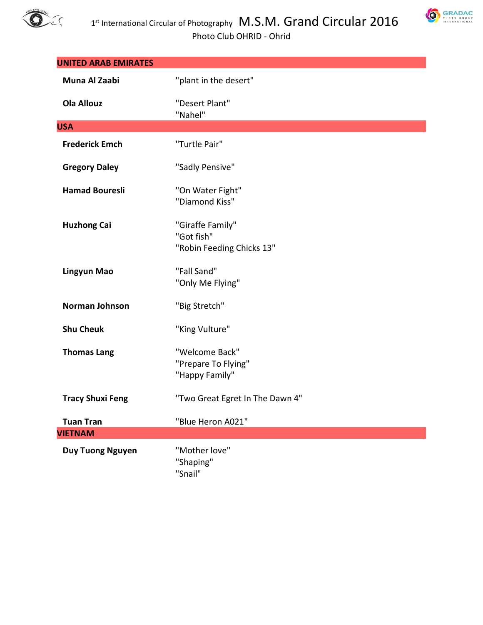



| <b>UNITED ARAB EMIRATES</b> |                                                             |
|-----------------------------|-------------------------------------------------------------|
| Muna Al Zaabi               | "plant in the desert"                                       |
| <b>Ola Allouz</b>           | "Desert Plant"<br>"Nahel"                                   |
| <b>USA</b>                  |                                                             |
| <b>Frederick Emch</b>       | "Turtle Pair"                                               |
| <b>Gregory Daley</b>        | "Sadly Pensive"                                             |
| <b>Hamad Bouresli</b>       | "On Water Fight"<br>"Diamond Kiss"                          |
| <b>Huzhong Cai</b>          | "Giraffe Family"<br>"Got fish"<br>"Robin Feeding Chicks 13" |
| <b>Lingyun Mao</b>          | "Fall Sand"<br>"Only Me Flying"                             |
| Norman Johnson              | "Big Stretch"                                               |
| <b>Shu Cheuk</b>            | "King Vulture"                                              |
| <b>Thomas Lang</b>          | "Welcome Back"<br>"Prepare To Flying"<br>"Happy Family"     |
| <b>Tracy Shuxi Feng</b>     | "Two Great Egret In The Dawn 4"                             |
| <b>Tuan Tran</b>            | "Blue Heron A021"                                           |
| <b>VIETNAM</b>              |                                                             |
| <b>Duy Tuong Nguyen</b>     | "Mother love"<br>"Shaping"<br>"Snail"                       |